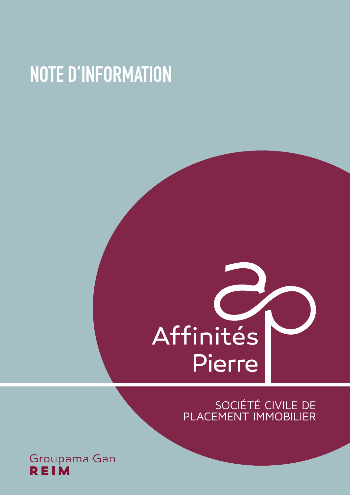# **NOTE D'INFORMATION**

# Affinités **Pierre**

SOCIÉTÉ CIVILE DE PLACEMENT IMMOBILIER

Groupama Gan **REIM**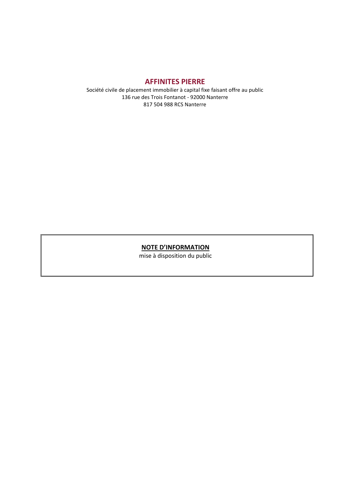#### **AFFINITES PIERRE**

Société civile de placement immobilier à capital fixe faisant offre au public 136 rue des Trois Fontanot - 92000 Nanterre 817 504 988 RCS Nanterre

#### **NOTE D'INFORMATION**

mise à disposition du public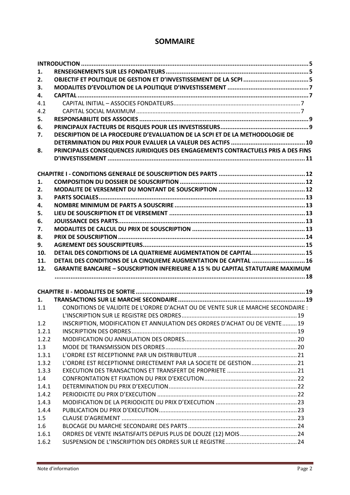# **SOMMAIRE**

| 1.             |                                                                                         |  |
|----------------|-----------------------------------------------------------------------------------------|--|
| 2.             |                                                                                         |  |
| 3.             |                                                                                         |  |
| 4.             |                                                                                         |  |
| 4.1            |                                                                                         |  |
| 4.2            |                                                                                         |  |
| 5.             |                                                                                         |  |
| 6.             |                                                                                         |  |
| 7.             | DESCRIPTION DE LA PROCEDURE D'EVALUATION DE LA SCPI ET DE LA METHODOLOGIE DE            |  |
|                |                                                                                         |  |
| 8.             | PRINCIPALES CONSEQUENCES JURIDIQUES DES ENGAGEMENTS CONTRACTUELS PRIS A DES FINS        |  |
|                |                                                                                         |  |
|                |                                                                                         |  |
|                |                                                                                         |  |
| 1.             |                                                                                         |  |
| 2.             |                                                                                         |  |
| 3.             |                                                                                         |  |
| 4.             |                                                                                         |  |
| 5.             |                                                                                         |  |
| 6.             |                                                                                         |  |
| 7.             |                                                                                         |  |
| 8.             |                                                                                         |  |
| 9.             |                                                                                         |  |
| 10.            | DETAIL DES CONDITIONS DE LA QUATRIEME AUGMENTATION DE CAPITAL 15                        |  |
| 11.            | DETAIL DES CONDITIONS DE LA CINQUIEME AUGMENTATION DE CAPITAL  16                       |  |
| 12.            | <b>GARANTIE BANCAIRE - SOUSCRIPTION INFERIEURE A 15 % DU CAPITAL STATUTAIRE MAXIMUM</b> |  |
|                |                                                                                         |  |
|                |                                                                                         |  |
| 1.             |                                                                                         |  |
|                |                                                                                         |  |
|                |                                                                                         |  |
| 1.1            | CONDITIONS DE VALIDITE DE L'ORDRE D'ACHAT OU DE VENTE SUR LE MARCHE SECONDAIRE :        |  |
|                |                                                                                         |  |
| 1.2            | INSCRIPTION, MODIFICATION ET ANNULATION DES ORDRES D'ACHAT OU DE VENTE19                |  |
| 1.2.1          |                                                                                         |  |
| 1.2.2          |                                                                                         |  |
| 1.3            |                                                                                         |  |
| 1.3.1          |                                                                                         |  |
| 1.3.2          | L'ORDRE EST RECEPTIONNE DIRECTEMENT PAR LA SOCIETE DE GESTION 21                        |  |
| 1.3.3          |                                                                                         |  |
| 1.4            |                                                                                         |  |
| 1.4.1          |                                                                                         |  |
| 1.4.2          |                                                                                         |  |
| 1.4.3          |                                                                                         |  |
| 1.4.4          |                                                                                         |  |
| 1.5            |                                                                                         |  |
| 1.6            |                                                                                         |  |
| 1.6.1<br>1.6.2 | ORDRES DE VENTE INSATISFAITS DEPUIS PLUS DE DOUZE (12) MOIS 24                          |  |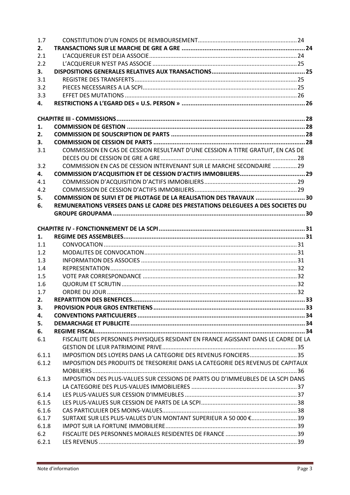| 1.7       |                                                                                   |  |
|-----------|-----------------------------------------------------------------------------------|--|
| 2.        |                                                                                   |  |
| 2.1       |                                                                                   |  |
| 2.2       |                                                                                   |  |
| 3.        |                                                                                   |  |
| 3.1       |                                                                                   |  |
| 3.2       |                                                                                   |  |
| 3.3       |                                                                                   |  |
| 4.        |                                                                                   |  |
|           |                                                                                   |  |
|           |                                                                                   |  |
| 1.        |                                                                                   |  |
| 2.        |                                                                                   |  |
| 3.        |                                                                                   |  |
| 3.1       | COMMISSION EN CAS DE CESSION RESULTANT D'UNE CESSION A TITRE GRATUIT, EN CAS DE   |  |
|           |                                                                                   |  |
| 3.2       | COMMISSION EN CAS DE CESSION INTERVENANT SUR LE MARCHE SECONDAIRE  29             |  |
| 4.<br>4.1 |                                                                                   |  |
| 4.2       |                                                                                   |  |
| 5.        | COMMISSION DE SUIVI ET DE PILOTAGE DE LA REALISATION DES TRAVAUX  30              |  |
| 6.        | REMUNERATIONS VERSEES DANS LE CADRE DES PRESTATIONS DELEGUEES A DES SOCIETES DU   |  |
|           |                                                                                   |  |
|           |                                                                                   |  |
|           |                                                                                   |  |
| 1.        |                                                                                   |  |
| 1.1       |                                                                                   |  |
| 1.2       |                                                                                   |  |
| 1.3       |                                                                                   |  |
| 1.4       |                                                                                   |  |
| 1.5       |                                                                                   |  |
| 1.6       |                                                                                   |  |
| 1.7       |                                                                                   |  |
| 2.        |                                                                                   |  |
| 3.        |                                                                                   |  |
| 4.        |                                                                                   |  |
| 5.        |                                                                                   |  |
| 6.        |                                                                                   |  |
| 6.1       | FISCALITE DES PERSONNES PHYSIQUES RESIDANT EN FRANCE AGISSANT DANS LE CADRE DE LA |  |
|           |                                                                                   |  |
| 6.1.1     | IMPOSITION DES LOYERS DANS LA CATEGORIE DES REVENUS FONCIERS35                    |  |
| 6.1.2     | IMPOSITION DES PRODUITS DE TRESORERIE DANS LA CATEGORIE DES REVENUS DE CAPITAUX   |  |
|           | IMPOSITION DES PLUS-VALUES SUR CESSIONS DE PARTS OU D'IMMEUBLES DE LA SCPI DANS   |  |
| 6.1.3     |                                                                                   |  |
| 6.1.4     |                                                                                   |  |
| 6.1.5     |                                                                                   |  |
| 6.1.6     |                                                                                   |  |
| 6.1.7     | SURTAXE SUR LES PLUS-VALUES D'UN MONTANT SUPERIEUR A 50 000 €39                   |  |
| 6.1.8     |                                                                                   |  |
| 6.2       |                                                                                   |  |
| 6.2.1     |                                                                                   |  |
|           |                                                                                   |  |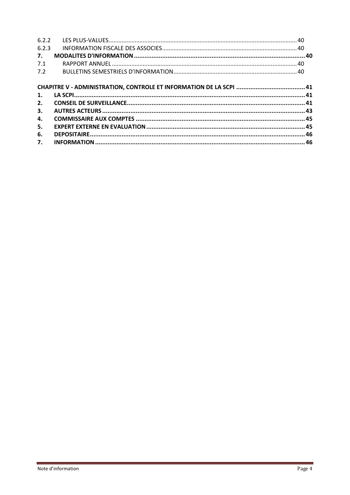| 6.2.2            |  |
|------------------|--|
| 6.2.3            |  |
| $\overline{7}$ . |  |
| 7.1              |  |
| 7.2              |  |
|                  |  |
|                  |  |
| 1.               |  |
| 2.               |  |
| 3.               |  |
| 4.               |  |
| 5.               |  |
| 6.               |  |
| 7.               |  |
|                  |  |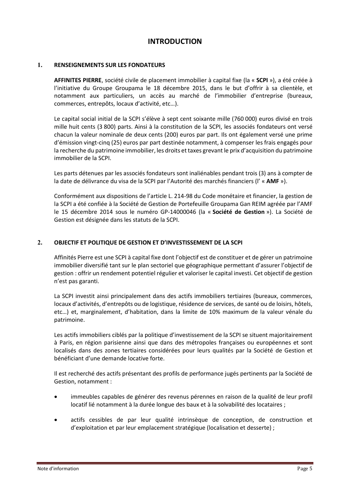# **INTRODUCTION**

#### <span id="page-5-1"></span><span id="page-5-0"></span>**1. RENSEIGNEMENTS SUR LES FONDATEURS**

**AFFINITES PIERRE**, société civile de placement immobilier à capital fixe (la « **SCPI** »), a été créée à l'initiative du Groupe Groupama le 18 décembre 2015, dans le but d'offrir à sa clientèle, et notamment aux particuliers, un accès au marché de l'immobilier d'entreprise (bureaux, commerces, entrepôts, locaux d'activité, etc…).

Le capital social initial de la SCPI s'élève à sept cent soixante mille (760 000) euros divisé en trois mille huit cents (3 800) parts. Ainsi à la constitution de la SCPI, les associés fondateurs ont versé chacun la valeur nominale de deux cents (200) euros par part. Ils ont également versé une prime d'émission vingt-cinq (25) euros par part destinée notamment, à compenser les frais engagés pour la recherche du patrimoine immobilier, les droits et taxes grevant le prix d'acquisition du patrimoine immobilier de la SCPI.

Les parts détenues par les associés fondateurs sont inaliénables pendant trois (3) ans à compter de la date de délivrance du visa de la SCPI par l'Autorité des marchés financiers (l' « **AMF** »).

Conformément aux dispositions de l'article L. 214-98 du Code monétaire et financier, la gestion de la SCPI a été confiée à la Société de Gestion de Portefeuille Groupama Gan REIM agréée par l'AMF le 15 décembre 2014 sous le numéro GP-14000046 (la « **Société de Gestion** »). La Société de Gestion est désignée dans les statuts de la SCPI.

#### <span id="page-5-2"></span>**2. OBJECTIF ET POLITIQUE DE GESTION ET D'INVESTISSEMENT DE LA SCPI**

Affinités Pierre est une SCPI à capital fixe dont l'objectif est de constituer et de gérer un patrimoine immobilier diversifié tant sur le plan sectoriel que géographique permettant d'assurer l'objectif de gestion : offrir un rendement potentiel régulier et valoriser le capital investi. Cet objectif de gestion n'est pas garanti.

La SCPI investit ainsi principalement dans des actifs immobiliers tertiaires (bureaux, commerces, locaux d'activités, d'entrepôts ou de logistique, résidence de services, de santé ou de loisirs, hôtels, etc…) et, marginalement, d'habitation, dans la limite de 10% maximum de la valeur vénale du patrimoine.

Les actifs immobiliers ciblés par la politique d'investissement de la SCPI se situent majoritairement à Paris, en région parisienne ainsi que dans des métropoles françaises ou européennes et sont localisés dans des zones tertiaires considérées pour leurs qualités par la Société de Gestion et bénéficiant d'une demande locative forte.

Il est recherché des actifs présentant des profils de performance jugés pertinents par la Société de Gestion, notamment :

- immeubles capables de générer des revenus pérennes en raison de la qualité de leur profil locatif lié notamment à la durée longue des baux et à la solvabilité des locataires ;
- actifs cessibles de par leur qualité intrinsèque de conception, de construction et d'exploitation et par leur emplacement stratégique (localisation et desserte) ;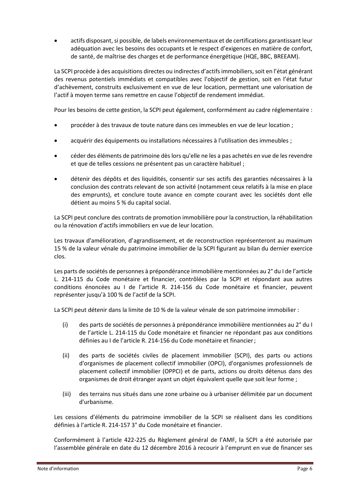• actifs disposant, si possible, de labels environnementaux et de certifications garantissant leur adéquation avec les besoins des occupants et le respect d'exigences en matière de confort, de santé, de maîtrise des charges et de performance énergétique (HQE, BBC, BREEAM).

La SCPI procède à des acquisitions directes ou indirectes d'actifs immobiliers, soit en l'état générant des revenus potentiels immédiats et compatibles avec l'objectif de gestion, soit en l'état futur d'achèvement, construits exclusivement en vue de leur location, permettant une valorisation de l'actif à moyen terme sans remettre en cause l'objectif de rendement immédiat.

Pour les besoins de cette gestion, la SCPI peut également, conformément au cadre réglementaire :

- procéder à des travaux de toute nature dans ces immeubles en vue de leur location ;
- acquérir des équipements ou installations nécessaires à l'utilisation des immeubles ;
- céder des éléments de patrimoine dès lors qu'elle ne les a pas achetés en vue de les revendre et que de telles cessions ne présentent pas un caractère habituel ;
- détenir des dépôts et des liquidités, consentir sur ses actifs des garanties nécessaires à la conclusion des contrats relevant de son activité (notamment ceux relatifs à la mise en place des emprunts), et conclure toute avance en compte courant avec les sociétés dont elle détient au moins 5 % du capital social.

La SCPI peut conclure des contrats de promotion immobilière pour la construction, la réhabilitation ou la rénovation d'actifs immobiliers en vue de leur location.

Les travaux d'amélioration, d'agrandissement, et de reconstruction représenteront au maximum 15 % de la valeur vénale du patrimoine immobilier de la SCPI figurant au bilan du dernier exercice clos.

Les parts de sociétés de personnes à prépondérance immobilière mentionnées au 2° du I de l'article L. 214-115 du Code monétaire et financier, contrôlées par la SCPI et répondant aux autres conditions énoncées au I de l'article R. 214-156 du Code monétaire et financier, peuvent représenter jusqu'à 100 % de l'actif de la SCPI.

La SCPI peut détenir dans la limite de 10 % de la valeur vénale de son patrimoine immobilier :

- (i) des parts de sociétés de personnes à prépondérance immobilière mentionnées au 2° du I de l'article L. 214-115 du Code monétaire et financier ne répondant pas aux conditions définies au I de l'article R. 214-156 du Code monétaire et financier;
- (ii) des parts de sociétés civiles de placement immobilier (SCPI), des parts ou actions d'organismes de placement collectif immobilier (OPCI), d'organismes professionnels de placement collectif immobilier (OPPCI) et de parts, actions ou droits détenus dans des organismes de droit étranger ayant un objet équivalent quelle que soit leur forme ;
- (iii) des terrains nus situés dans une zone urbaine ou à urbaniser délimitée par un document d'urbanisme.

Les cessions d'éléments du patrimoine immobilier de la SCPI se réalisent dans les conditions définies à l'article R. 214-157 3° du Code monétaire et financier.

Conformément à l'article 422-225 du Règlement général de l'AMF, la SCPI a été autorisée par l'assemblée générale en date du 12 décembre 2016 à recourir à l'emprunt en vue de financer ses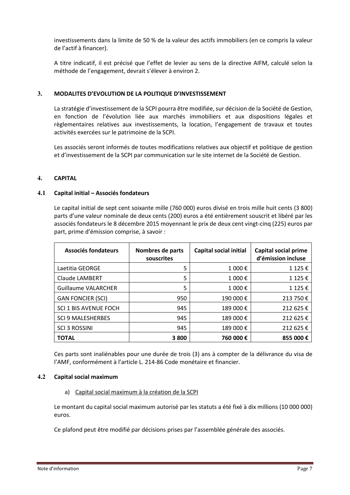investissements dans la limite de 50 % de la valeur des actifs immobiliers (en ce compris la valeur de l'actif à financer).

A titre indicatif, il est précisé que l'effet de levier au sens de la directive AIFM, calculé selon la méthode de l'engagement, devrait s'élever à environ 2.

#### <span id="page-7-0"></span>**3. MODALITES D'EVOLUTION DE LA POLITIQUE D'INVESTISSEMENT**

La stratégie d'investissement de la SCPI pourra être modifiée, sur décision de la Société de Gestion, en fonction de l'évolution liée aux marchés immobiliers et aux dispositions légales et règlementaires relatives aux investissements, la location, l'engagement de travaux et toutes activités exercées sur le patrimoine de la SCPI.

Les associés seront informés de toutes modifications relatives aux objectif et politique de gestion et d'investissement de la SCPI par communication sur le site internet de la Société de Gestion.

#### <span id="page-7-1"></span>**4. CAPITAL**

#### <span id="page-7-2"></span>**4.1 Capital initial – Associés fondateurs**

Le capital initial de sept cent soixante mille (760 000) euros divisé en trois mille huit cents (3 800) parts d'une valeur nominale de deux cents (200) euros a été entièrement souscrit et libéré par les associés fondateurs le 8 décembre 2015 moyennant le prix de deux cent vingt-cinq (225) euros par part, prime d'émission comprise, à savoir :

| Associés fondateurs        | Nombres de parts<br>souscrites | <b>Capital social initial</b> | <b>Capital social prime</b><br>d'émission incluse |
|----------------------------|--------------------------------|-------------------------------|---------------------------------------------------|
| Laetitia GEORGE            | 5                              | 1 000€                        | 1 125 €                                           |
| Claude LAMBERT             | 5                              | 1 000€                        | 1 125 €                                           |
| <b>Guillaume VALARCHER</b> | 5                              | 1 000€                        | 1 125 €                                           |
| <b>GAN FONCIER (SCI)</b>   | 950                            | 190 000€                      | 213 750€                                          |
| SCI 1 BIS AVENUE FOCH      | 945                            | 189 000€                      | 212 625€                                          |
| <b>SCI 9 MALESHERBES</b>   | 945                            | 189 000€                      | 212 625€                                          |
| <b>SCI 3 ROSSINI</b>       | 945                            | 189 000 €                     | 212 625 €                                         |
| <b>TOTAL</b>               | 3800                           | 760 000€                      | 855 000€                                          |

Ces parts sont inaliénables pour une durée de trois (3) ans à compter de la délivrance du visa de l'AMF, conformément à l'article L. 214-86 Code monétaire et financier.

#### <span id="page-7-3"></span>**4.2 Capital social maximum**

a) Capital social maximum à la création de la SCPI

Le montant du capital social maximum autorisé par les statuts a été fixé à dix millions (10 000 000) euros.

Ce plafond peut être modifié par décisions prises par l'assemblée générale des associés.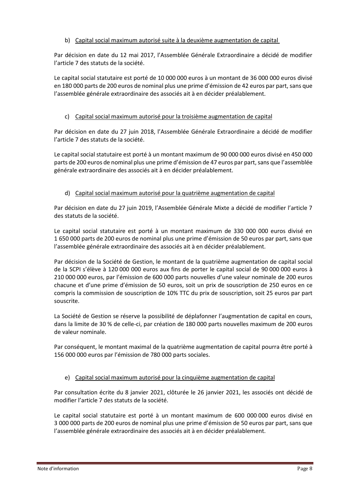#### b) Capital social maximum autorisé suite à la deuxième augmentation de capital

Par décision en date du 12 mai 2017, l'Assemblée Générale Extraordinaire a décidé de modifier l'article 7 des statuts de la société.

Le capital social statutaire est porté de 10 000 000 euros à un montant de 36 000 000 euros divisé en 180 000 parts de 200 euros de nominal plus une prime d'émission de 42 euros par part, sans que l'assemblée générale extraordinaire des associés ait à en décider préalablement.

#### c) Capital social maximum autorisé pour la troisième augmentation de capital

Par décision en date du 27 juin 2018, l'Assemblée Générale Extraordinaire a décidé de modifier l'article 7 des statuts de la société.

Le capital social statutaire est porté à un montant maximum de 90 000 000 euros divisé en 450 000 parts de 200 euros de nominal plus une prime d'émission de 47 euros par part, sans que l'assemblée générale extraordinaire des associés ait à en décider préalablement.

#### d) Capital social maximum autorisé pour la quatrième augmentation de capital

Par décision en date du 27 juin 2019, l'Assemblée Générale Mixte a décidé de modifier l'article 7 des statuts de la société.

Le capital social statutaire est porté à un montant maximum de 330 000 000 euros divisé en 1 650 000 parts de 200 euros de nominal plus une prime d'émission de 50 euros par part, sans que l'assemblée générale extraordinaire des associés ait à en décider préalablement.

Par décision de la Société de Gestion, le montant de la quatrième augmentation de capital social de la SCPI s'élève à 120 000 000 euros aux fins de porter le capital social de 90 000 000 euros à 210 000 000 euros, par l'émission de 600 000 parts nouvelles d'une valeur nominale de 200 euros chacune et d'une prime d'émission de 50 euros, soit un prix de souscription de 250 euros en ce compris la commission de souscription de 10% TTC du prix de souscription, soit 25 euros par part souscrite.

La Société de Gestion se réserve la possibilité de déplafonner l'augmentation de capital en cours, dans la limite de 30 % de celle-ci, par création de 180 000 parts nouvelles maximum de 200 euros de valeur nominale.

Par conséquent, le montant maximal de la quatrième augmentation de capital pourra être porté à 156 000 000 euros par l'émission de 780 000 parts sociales.

#### e) Capital social maximum autorisé pour la cinquième augmentation de capital

Par consultation écrite du 8 janvier 2021, clôturée le 26 janvier 2021, les associés ont décidé de modifier l'article 7 des statuts de la société.

Le capital social statutaire est porté à un montant maximum de 600 000 000 euros divisé en 3 000 000 parts de 200 euros de nominal plus une prime d'émission de 50 euros par part, sans que l'assemblée générale extraordinaire des associés ait à en décider préalablement.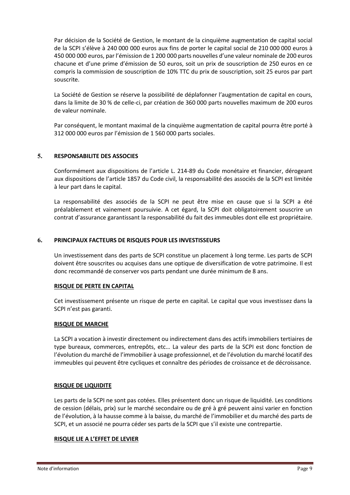Par décision de la Société de Gestion, le montant de la cinquième augmentation de capital social de la SCPI s'élève à 240 000 000 euros aux fins de porter le capital social de 210 000 000 euros à 450 000 000 euros, par l'émission de 1 200 000 parts nouvelles d'une valeur nominale de 200 euros chacune et d'une prime d'émission de 50 euros, soit un prix de souscription de 250 euros en ce compris la commission de souscription de 10% TTC du prix de souscription, soit 25 euros par part souscrite.

La Société de Gestion se réserve la possibilité de déplafonner l'augmentation de capital en cours, dans la limite de 30 % de celle-ci, par création de 360 000 parts nouvelles maximum de 200 euros de valeur nominale.

Par conséquent, le montant maximal de la cinquième augmentation de capital pourra être porté à 312 000 000 euros par l'émission de 1 560 000 parts sociales.

#### <span id="page-9-0"></span>**5. RESPONSABILITE DES ASSOCIES**

Conformément aux dispositions de l'article L. 214-89 du Code monétaire et financier, dérogeant aux dispositions de l'article 1857 du Code civil, la responsabilité des associés de la SCPI est limitée à leur part dans le capital.

La responsabilité des associés de la SCPI ne peut être mise en cause que si la SCPI a été préalablement et vainement poursuivie. A cet égard, la SCPI doit obligatoirement souscrire un contrat d'assurance garantissant la responsabilité du fait des immeubles dont elle est propriétaire.

#### <span id="page-9-1"></span>**6. PRINCIPAUX FACTEURS DE RISQUES POUR LES INVESTISSEURS**

Un investissement dans des parts de SCPI constitue un placement à long terme. Les parts de SCPI doivent être souscrites ou acquises dans une optique de diversification de votre patrimoine. Il est donc recommandé de conserver vos parts pendant une durée minimum de 8 ans.

#### **RISQUE DE PERTE EN CAPITAL**

Cet investissement présente un risque de perte en capital. Le capital que vous investissez dans la SCPI n'est pas garanti.

#### **RISQUE DE MARCHE**

La SCPI a vocation à investir directement ou indirectement dans des actifs immobiliers tertiaires de type bureaux, commerces, entrepôts, etc… La valeur des parts de la SCPI est donc fonction de l'évolution du marché de l'immobilier à usage professionnel, et de l'évolution du marché locatif des immeubles qui peuvent être cycliques et connaître des périodes de croissance et de décroissance.

#### **RISQUE DE LIQUIDITE**

Les parts de la SCPI ne sont pas cotées. Elles présentent donc un risque de liquidité. Les conditions de cession (délais, prix) sur le marché secondaire ou de gré à gré peuvent ainsi varier en fonction de l'évolution, à la hausse comme à la baisse, du marché de l'immobilier et du marché des parts de SCPI, et un associé ne pourra céder ses parts de la SCPI que s'il existe une contrepartie.

#### **RISQUE LIE A L'EFFET DE LEVIER**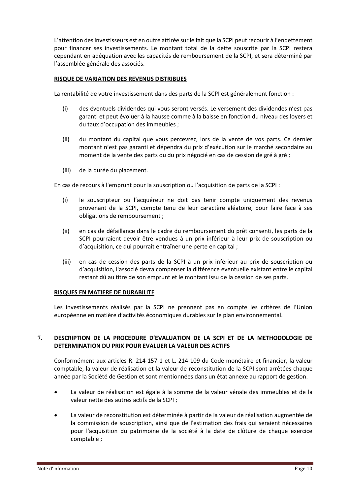L'attention des investisseurs est en outre attirée sur le fait que la SCPI peut recourir à l'endettement pour financer ses investissements. Le montant total de la dette souscrite par la SCPI restera cependant en adéquation avec les capacités de remboursement de la SCPI, et sera déterminé par l'assemblée générale des associés.

#### **RISQUE DE VARIATION DES REVENUS DISTRIBUES**

La rentabilité de votre investissement dans des parts de la SCPI est généralement fonction :

- (i) des éventuels dividendes qui vous seront versés. Le versement des dividendes n'est pas garanti et peut évoluer à la hausse comme à la baisse en fonction du niveau des loyers et du taux d'occupation des immeubles ;
- (ii) du montant du capital que vous percevrez, lors de la vente de vos parts. Ce dernier montant n'est pas garanti et dépendra du prix d'exécution sur le marché secondaire au moment de la vente des parts ou du prix négocié en cas de cession de gré à gré ;
- (iii) de la durée du placement.

En cas de recours à l'emprunt pour la souscription ou l'acquisition de parts de la SCPI :

- (i) le souscripteur ou l'acquéreur ne doit pas tenir compte uniquement des revenus provenant de la SCPI, compte tenu de leur caractère aléatoire, pour faire face à ses obligations de remboursement ;
- (ii) en cas de défaillance dans le cadre du remboursement du prêt consenti, les parts de la SCPI pourraient devoir être vendues à un prix inférieur à leur prix de souscription ou d'acquisition, ce qui pourrait entraîner une perte en capital ;
- (iii) en cas de cession des parts de la SCPI à un prix inférieur au prix de souscription ou d'acquisition, l'associé devra compenser la différence éventuelle existant entre le capital restant dû au titre de son emprunt et le montant issu de la cession de ses parts.

#### **RISQUES EN MATIERE DE DURABILITE**

Les investissements réalisés par la SCPI ne prennent pas en compte les critères de l'Union européenne en matière d'activités économiques durables sur le plan environnemental.

#### <span id="page-10-0"></span>**7. DESCRIPTION DE LA PROCEDURE D'EVALUATION DE LA SCPI ET DE LA METHODOLOGIE DE DETERMINATION DU PRIX POUR EVALUER LA VALEUR DES ACTIFS**

Conformément aux articles R. 214-157-1 et L. 214-109 du Code monétaire et financier, la valeur comptable, la valeur de réalisation et la valeur de reconstitution de la SCPI sont arrêtées chaque année par la Société de Gestion et sont mentionnées dans un état annexe au rapport de gestion.

- La valeur de réalisation est égale à la somme de la valeur vénale des immeubles et de la valeur nette des autres actifs de la SCPI ;
- La valeur de reconstitution est déterminée à partir de la valeur de réalisation augmentée de la commission de souscription, ainsi que de l'estimation des frais qui seraient nécessaires pour l'acquisition du patrimoine de la société à la date de clôture de chaque exercice comptable ;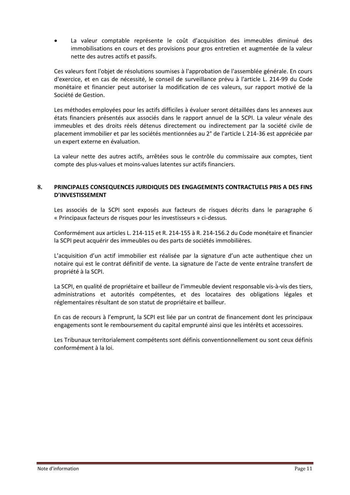• La valeur comptable représente le coût d'acquisition des immeubles diminué des immobilisations en cours et des provisions pour gros entretien et augmentée de la valeur nette des autres actifs et passifs.

Ces valeurs font l'objet de résolutions soumises à l'approbation de l'assemblée générale. En cours d'exercice, et en cas de nécessité, le conseil de surveillance prévu à l'article L. 214-99 du Code monétaire et financier peut autoriser la modification de ces valeurs, sur rapport motivé de la Société de Gestion.

Les méthodes employées pour les actifs difficiles à évaluer seront détaillées dans les annexes aux états financiers présentés aux associés dans le rapport annuel de la SCPI. La valeur vénale des immeubles et des droits réels détenus directement ou indirectement par la société civile de placement immobilier et par les sociétés mentionnées au 2° de l'article L 214-36 est appréciée par un expert externe en évaluation.

La valeur nette des autres actifs, arrêtées sous le contrôle du commissaire aux comptes, tient compte des plus-values et moins-values latentes sur actifs financiers.

#### <span id="page-11-0"></span>**8. PRINCIPALES CONSEQUENCES JURIDIQUES DES ENGAGEMENTS CONTRACTUELS PRIS A DES FINS D'INVESTISSEMENT**

Les associés de la SCPI sont exposés aux facteurs de risques décrits dans le paragraphe 6 « Principaux facteurs de risques pour les investisseurs » ci-dessus.

Conformément aux articles L. 214-115 et R. 214-155 à R. 214-156.2 du Code monétaire et financier la SCPI peut acquérir des immeubles ou des parts de sociétés immobilières.

L'acquisition d'un actif immobilier est réalisée par la signature d'un acte authentique chez un notaire qui est le contrat définitif de vente. La signature de l'acte de vente entraîne transfert de propriété à la SCPI.

La SCPI, en qualité de propriétaire et bailleur de l'immeuble devient responsable vis-à-vis des tiers, administrations et autorités compétentes, et des locataires des obligations légales et réglementaires résultant de son statut de propriétaire et bailleur.

En cas de recours à l'emprunt, la SCPI est liée par un contrat de financement dont les principaux engagements sont le remboursement du capital emprunté ainsi que les intérêts et accessoires.

Les Tribunaux territorialement compétents sont définis conventionnellement ou sont ceux définis conformément à la loi.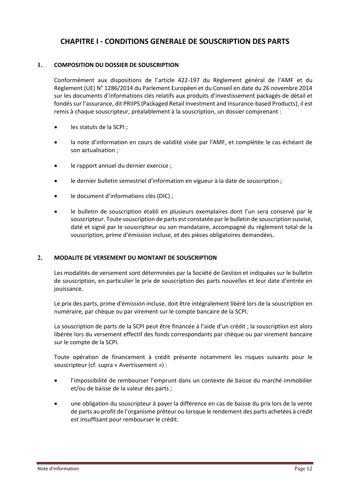# <span id="page-12-0"></span>**CHAPITRE I - CONDITIONS GENERALE DE SOUSCRIPTION DES PARTS**

#### <span id="page-12-1"></span>**1. COMPOSITION DU DOSSIER DE SOUSCRIPTION**

Conformément aux dispositions de l'article 422-197 du Règlement général de l'AMF et du Règlement (UE) N° 1286/2014 du Parlement Européen et du Conseil en date du 26 novembre 2014 sur les documents d'informations clés relatifs aux produits d'investissement packagés de détail et fondés sur l'assurance, dit PRIIPS (Packaged Retail Investment and Insurance-based Products), il est remis à chaque souscripteur, préalablement à la souscription, un dossier comprenant :

- les statuts de la SCPI ;
- la note d'information en cours de validité visée par l'AMF, et complétée le cas échéant de son actualisation ;
- le rapport annuel du dernier exercice :
- le dernier bulletin semestriel d'information en vigueur à la date de souscription ;
- le document d'informations clés (DIC) ;
- le bulletin de souscription établi en plusieurs exemplaires dont l'un sera conservé par le souscripteur. Toute souscription de parts est constatée par le bulletin de souscription susvisé, daté et signé par le souscripteur ou son mandataire, accompagné du règlement total de la souscription, prime d'émission incluse, et des pièces obligatoires demandées.

#### <span id="page-12-2"></span>**2. MODALITE DE VERSEMENT DU MONTANT DE SOUSCRIPTION**

Les modalités de versement sont déterminées par la Société de Gestion et indiquées sur le bulletin de souscription, en particulier le prix de souscription des parts nouvelles et leur date d'entrée en jouissance.

Le prix des parts, prime d'émission incluse, doit être intégralement libéré lors de la souscription en numéraire, par chèque ou par virement sur le compte bancaire de la SCPI.

La souscription de parts de la SCPI peut être financée à l'aide d'un crédit ; la souscription est alors libérée lors du versement effectif des fonds correspondants par chèque ou par virement bancaire sur le compte de la SCPI.

Toute opération de financement à crédit présente notamment les risques suivants pour le souscripteur (cf. supra « Avertissement ») :

- l'impossibilité de rembourser l'emprunt dans un contexte de baisse du marché immobilier et/ou de baisse de la valeur des parts ;
- une obligation du souscripteur à payer la différence en cas de baisse du prix lors de la vente de parts au profit de l'organisme prêteur ou lorsque le rendement des parts achetées à crédit est insuffisant pour rembourser le crédit.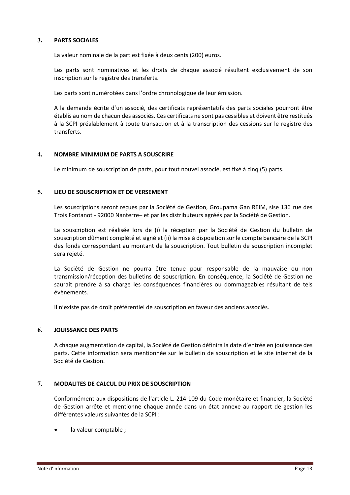#### <span id="page-13-0"></span>**3. PARTS SOCIALES**

La valeur nominale de la part est fixée à deux cents (200) euros.

Les parts sont nominatives et les droits de chaque associé résultent exclusivement de son inscription sur le registre des transferts.

Les parts sont numérotées dans l'ordre chronologique de leur émission.

A la demande écrite d'un associé, des certificats représentatifs des parts sociales pourront être établis au nom de chacun des associés. Ces certificats ne sont pas cessibles et doivent être restitués à la SCPI préalablement à toute transaction et à la transcription des cessions sur le registre des transferts.

#### <span id="page-13-1"></span>**4. NOMBRE MINIMUM DE PARTS A SOUSCRIRE**

Le minimum de souscription de parts, pour tout nouvel associé, est fixé à cinq (5) parts.

#### <span id="page-13-2"></span>**5. LIEU DE SOUSCRIPTION ET DE VERSEMENT**

Les souscriptions seront reçues par la Société de Gestion, Groupama Gan REIM, sise 136 rue des Trois Fontanot - 92000 Nanterre– et par les distributeurs agréés par la Société de Gestion.

La souscription est réalisée lors de (i) la réception par la Société de Gestion du bulletin de souscription dûment complété et signé et (ii) la mise à disposition sur le compte bancaire de la SCPI des fonds correspondant au montant de la souscription. Tout bulletin de souscription incomplet sera rejeté.

La Société de Gestion ne pourra être tenue pour responsable de la mauvaise ou non transmission/réception des bulletins de souscription. En conséquence, la Société de Gestion ne saurait prendre à sa charge les conséquences financières ou dommageables résultant de tels évènements.

Il n'existe pas de droit préférentiel de souscription en faveur des anciens associés.

#### <span id="page-13-3"></span>**6. JOUISSANCE DES PARTS**

A chaque augmentation de capital, la Société de Gestion définira la date d'entrée en jouissance des parts. Cette information sera mentionnée sur le bulletin de souscription et le site internet de la Société de Gestion.

#### <span id="page-13-4"></span>**7. MODALITES DE CALCUL DU PRIX DE SOUSCRIPTION**

Conformément aux dispositions de l'article L. 214-109 du Code monétaire et financier, la Société de Gestion arrête et mentionne chaque année dans un état annexe au rapport de gestion les différentes valeurs suivantes de la SCPI :

la valeur comptable ;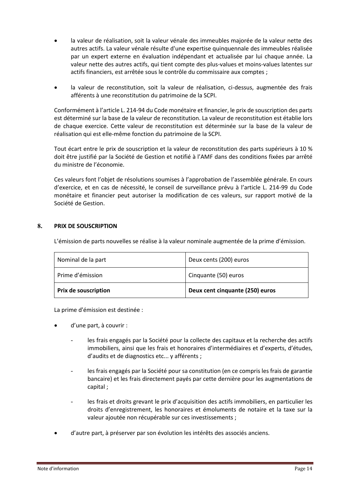- la valeur de réalisation, soit la valeur vénale des immeubles majorée de la valeur nette des autres actifs. La valeur vénale résulte d'une expertise quinquennale des immeubles réalisée par un expert externe en évaluation indépendant et actualisée par lui chaque année. La valeur nette des autres actifs, qui tient compte des plus-values et moins-values latentes sur actifs financiers, est arrêtée sous le contrôle du commissaire aux comptes ;
- la valeur de reconstitution, soit la valeur de réalisation, ci-dessus, augmentée des frais afférents à une reconstitution du patrimoine de la SCPI.

Conformément à l'article L. 214-94 du Code monétaire et financier, le prix de souscription des parts est déterminé sur la base de la valeur de reconstitution. La valeur de reconstitution est établie lors de chaque exercice. Cette valeur de reconstitution est déterminée sur la base de la valeur de réalisation qui est elle-même fonction du patrimoine de la SCPI.

Tout écart entre le prix de souscription et la valeur de reconstitution des parts supérieurs à 10 % doit être justifié par la Société de Gestion et notifié à l'AMF dans des conditions fixées par arrêté du ministre de l'économie.

Ces valeurs font l'objet de résolutions soumises à l'approbation de l'assemblée générale. En cours d'exercice, et en cas de nécessité, le conseil de surveillance prévu à l'article L. 214-99 du Code monétaire et financier peut autoriser la modification de ces valeurs, sur rapport motivé de la Société de Gestion.

#### <span id="page-14-0"></span>**8. PRIX DE SOUSCRIPTION**

L'émission de parts nouvelles se réalise à la valeur nominale augmentée de la prime d'émission.

| <b>Prix de souscription</b> | Deux cent cinquante (250) euros |
|-----------------------------|---------------------------------|
| Prime d'émission            | Cinquante (50) euros            |
| Nominal de la part          | Deux cents (200) euros          |

La prime d'émission est destinée :

- d'une part, à couvrir :
	- les frais engagés par la Société pour la collecte des capitaux et la recherche des actifs immobiliers, ainsi que les frais et honoraires d'intermédiaires et d'experts, d'études, d'audits et de diagnostics etc... y afférents ;
	- les frais engagés par la Société pour sa constitution (en ce compris les frais de garantie bancaire) et les frais directement payés par cette dernière pour les augmentations de capital ;
	- les frais et droits grevant le prix d'acquisition des actifs immobiliers, en particulier les droits d'enregistrement, les honoraires et émoluments de notaire et la taxe sur la valeur ajoutée non récupérable sur ces investissements ;
- d'autre part, à préserver par son évolution les intérêts des associés anciens.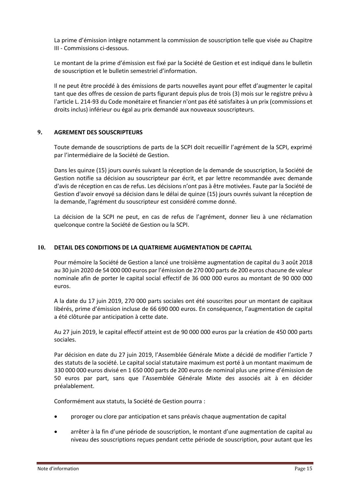La prime d'émission intègre notamment la commission de souscription telle que visée au Chapitre III - Commissions ci-dessous.

Le montant de la prime d'émission est fixé par la Société de Gestion et est indiqué dans le bulletin de souscription et le bulletin semestriel d'information.

Il ne peut être procédé à des émissions de parts nouvelles ayant pour effet d'augmenter le capital tant que des offres de cession de parts figurant depuis plus de trois (3) mois sur le registre prévu à l'article L. 214-93 du Code monétaire et financier n'ont pas été satisfaites à un prix (commissions et droits inclus) inférieur ou égal au prix demandé aux nouveaux souscripteurs.

#### <span id="page-15-0"></span>**9. AGREMENT DES SOUSCRIPTEURS**

Toute demande de souscriptions de parts de la SCPI doit recueillir l'agrément de la SCPI, exprimé par l'intermédiaire de la Société de Gestion.

Dans les quinze (15) jours ouvrés suivant la réception de la demande de souscription, la Société de Gestion notifie sa décision au souscripteur par écrit, et par lettre recommandée avec demande d'avis de réception en cas de refus. Les décisions n'ont pas à être motivées. Faute par la Société de Gestion d'avoir envoyé sa décision dans le délai de quinze (15) jours ouvrés suivant la réception de la demande, l'agrément du souscripteur est considéré comme donné.

La décision de la SCPI ne peut, en cas de refus de l'agrément, donner lieu à une réclamation quelconque contre la Société de Gestion ou la SCPI.

#### <span id="page-15-1"></span>**10. DETAIL DES CONDITIONS DE LA QUATRIEME AUGMENTATION DE CAPITAL**

Pour mémoire la Société de Gestion a lancé une troisième augmentation de capital du 3 août 2018 au 30 juin 2020 de 54 000 000 euros par l'émission de 270 000 parts de 200 euros chacune de valeur nominale afin de porter le capital social effectif de 36 000 000 euros au montant de 90 000 000 euros.

A la date du 17 juin 2019, 270 000 parts sociales ont été souscrites pour un montant de capitaux libérés, prime d'émission incluse de 66 690 000 euros. En conséquence, l'augmentation de capital a été clôturée par anticipation à cette date.

Au 27 juin 2019, le capital effectif atteint est de 90 000 000 euros par la création de 450 000 parts sociales.

Par décision en date du 27 juin 2019, l'Assemblée Générale Mixte a décidé de modifier l'article 7 des statuts de la société. Le capital social statutaire maximum est porté à un montant maximum de 330 000 000 euros divisé en 1 650 000 parts de 200 euros de nominal plus une prime d'émission de 50 euros par part, sans que l'Assemblée Générale Mixte des associés ait à en décider préalablement.

Conformément aux statuts, la Société de Gestion pourra :

- proroger ou clore par anticipation et sans préavis chaque augmentation de capital
- arrêter à la fin d'une période de souscription, le montant d'une augmentation de capital au niveau des souscriptions reçues pendant cette période de souscription, pour autant que les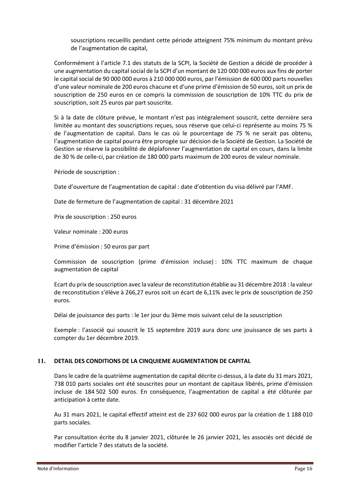souscriptions recueillis pendant cette période atteignent 75% minimum du montant prévu de l'augmentation de capital,

Conformément à l'article 7.1 des statuts de la SCPI, la Société de Gestion a décidé de procéder à une augmentation du capital social de la SCPI d'un montant de 120 000 000 euros aux fins de porter le capital social de 90 000 000 euros à 210 000 000 euros, par l'émission de 600 000 parts nouvelles d'une valeur nominale de 200 euros chacune et d'une prime d'émission de 50 euros, soit un prix de souscription de 250 euros en ce compris la commission de souscription de 10% TTC du prix de souscription, soit 25 euros par part souscrite.

Si à la date de clôture prévue, le montant n'est pas intégralement souscrit, cette dernière sera limitée au montant des souscriptions reçues, sous réserve que celui-ci représente au moins 75 % de l'augmentation de capital. Dans le cas où le pourcentage de 75 % ne serait pas obtenu, l'augmentation de capital pourra être prorogée sur décision de la Société de Gestion. La Société de Gestion se réserve la possibilité de déplafonner l'augmentation de capital en cours, dans la limite de 30 % de celle-ci, par création de 180 000 parts maximum de 200 euros de valeur nominale.

Période de souscription :

Date d'ouverture de l'augmentation de capital : date d'obtention du visa délivré par l'AMF.

Date de fermeture de l'augmentation de capital : 31 décembre 2021

Prix de souscription : 250 euros

Valeur nominale : 200 euros

Prime d'émission : 50 euros par part

Commission de souscription (prime d'émission incluse) : 10% TTC maximum de chaque augmentation de capital

Ecart du prix de souscription avec la valeur de reconstitution établie au 31 décembre 2018 : la valeur de reconstitution s'élève à 266,27 euros soit un écart de 6,11% avec le prix de souscription de 250 euros.

Délai de jouissance des parts : le 1er jour du 3ème mois suivant celui de la souscription

Exemple : l'associé qui souscrit le 15 septembre 2019 aura donc une jouissance de ses parts à compter du 1er décembre 2019.

#### <span id="page-16-0"></span>**11. DETAIL DES CONDITIONS DE LA CINQUIEME AUGMENTATION DE CAPITAL**

Dans le cadre de la quatrième augmentation de capital décrite ci-dessus, à la date du 31 mars 2021, 738 010 parts sociales ont été souscrites pour un montant de capitaux libérés, prime d'émission incluse de 184 502 500 euros. En conséquence, l'augmentation de capital a été clôturée par anticipation à cette date.

Au 31 mars 2021, le capital effectif atteint est de 237 602 000 euros par la création de 1 188 010 parts sociales.

Par consultation écrite du 8 janvier 2021, clôturée le 26 janvier 2021, les associés ont décidé de modifier l'article 7 des statuts de la société.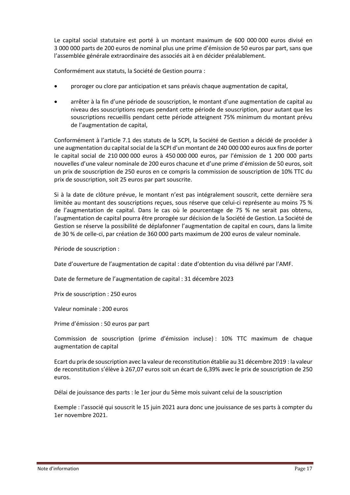Le capital social statutaire est porté à un montant maximum de 600 000 000 euros divisé en 3 000 000 parts de 200 euros de nominal plus une prime d'émission de 50 euros par part, sans que l'assemblée générale extraordinaire des associés ait à en décider préalablement.

Conformément aux statuts, la Société de Gestion pourra :

- proroger ou clore par anticipation et sans préavis chaque augmentation de capital,
- arrêter à la fin d'une période de souscription, le montant d'une augmentation de capital au niveau des souscriptions reçues pendant cette période de souscription, pour autant que les souscriptions recueillis pendant cette période atteignent 75% minimum du montant prévu de l'augmentation de capital,

Conformément à l'article 7.1 des statuts de la SCPI, la Société de Gestion a décidé de procéder à une augmentation du capital social de la SCPI d'un montant de 240 000 000 euros aux fins de porter le capital social de 210 000 000 euros à 450 000 000 euros, par l'émission de 1 200 000 parts nouvelles d'une valeur nominale de 200 euros chacune et d'une prime d'émission de 50 euros, soit un prix de souscription de 250 euros en ce compris la commission de souscription de 10% TTC du prix de souscription, soit 25 euros par part souscrite.

Si à la date de clôture prévue, le montant n'est pas intégralement souscrit, cette dernière sera limitée au montant des souscriptions reçues, sous réserve que celui-ci représente au moins 75 % de l'augmentation de capital. Dans le cas où le pourcentage de 75 % ne serait pas obtenu, l'augmentation de capital pourra être prorogée sur décision de la Société de Gestion. La Société de Gestion se réserve la possibilité de déplafonner l'augmentation de capital en cours, dans la limite de 30 % de celle-ci, par création de 360 000 parts maximum de 200 euros de valeur nominale.

Période de souscription :

Date d'ouverture de l'augmentation de capital : date d'obtention du visa délivré par l'AMF.

Date de fermeture de l'augmentation de capital : 31 décembre 2023

Prix de souscription : 250 euros

Valeur nominale : 200 euros

Prime d'émission : 50 euros par part

Commission de souscription (prime d'émission incluse) : 10% TTC maximum de chaque augmentation de capital

Ecart du prix de souscription avec la valeur de reconstitution établie au 31 décembre 2019 : la valeur de reconstitution s'élève à 267,07 euros soit un écart de 6,39% avec le prix de souscription de 250 euros.

Délai de jouissance des parts : le 1er jour du 5ème mois suivant celui de la souscription

Exemple : l'associé qui souscrit le 15 juin 2021 aura donc une jouissance de ses parts à compter du 1er novembre 2021.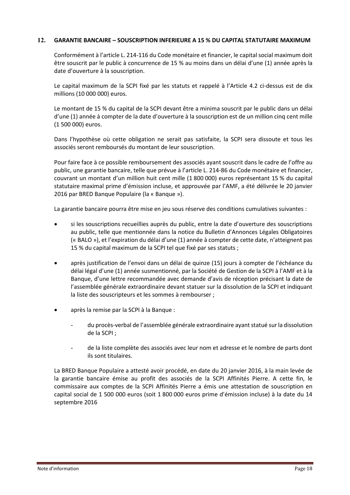#### <span id="page-18-0"></span>**12. GARANTIE BANCAIRE – SOUSCRIPTION INFERIEURE A 15 % DU CAPITAL STATUTAIRE MAXIMUM**

Conformément à l'article L. 214-116 du Code monétaire et financier, le capital social maximum doit être souscrit par le public à concurrence de 15 % au moins dans un délai d'une (1) année après la date d'ouverture à la souscription.

Le capital maximum de la SCPI fixé par les statuts et rappelé à l'Article [4.2](#page-7-3) ci-dessus est de dix millions (10 000 000) euros.

Le montant de 15 % du capital de la SCPI devant être a minima souscrit par le public dans un délai d'une (1) année à compter de la date d'ouverture à la souscription est de un million cinq cent mille (1 500 000) euros.

Dans l'hypothèse où cette obligation ne serait pas satisfaite, la SCPI sera dissoute et tous les associés seront remboursés du montant de leur souscription.

Pour faire face à ce possible remboursement des associés ayant souscrit dans le cadre de l'offre au public, une garantie bancaire, telle que prévue à l'article L. 214-86 du Code monétaire et financier, couvrant un montant d'un million huit cent mille (1 800 000) euros représentant 15 % du capital statutaire maximal prime d'émission incluse, et approuvée par l'AMF, a été délivrée le 20 janvier 2016 par BRED Banque Populaire (la « Banque »).

La garantie bancaire pourra être mise en jeu sous réserve des conditions cumulatives suivantes :

- si les souscriptions recueillies auprès du public, entre la date d'ouverture des souscriptions au public, telle que mentionnée dans la notice du Bulletin d'Annonces Légales Obligatoires (« BALO »), et l'expiration du délai d'une (1) année à compter de cette date, n'atteignent pas 15 % du capital maximum de la SCPI tel que fixé par ses statuts ;
- après justification de l'envoi dans un délai de quinze (15) jours à compter de l'échéance du délai légal d'une (1) année susmentionné, par la Société de Gestion de la SCPI à l'AMF et à la Banque, d'une lettre recommandée avec demande d'avis de réception précisant la date de l'assemblée générale extraordinaire devant statuer sur la dissolution de la SCPI et indiquant la liste des souscripteurs et les sommes à rembourser ;
- après la remise par la SCPI à la Banque :
	- du procès-verbal de l'assemblée générale extraordinaire ayant statué sur la dissolution de la SCPI ;
	- de la liste complète des associés avec leur nom et adresse et le nombre de parts dont ils sont titulaires.

La BRED Banque Populaire a attesté avoir procédé, en date du 20 janvier 2016, à la main levée de la garantie bancaire émise au profit des associés de la SCPI Affinités Pierre. A cette fin, le commissaire aux comptes de la SCPI Affinités Pierre a émis une attestation de souscription en capital social de 1 500 000 euros (soit 1 800 000 euros prime d'émission incluse) à la date du 14 septembre 2016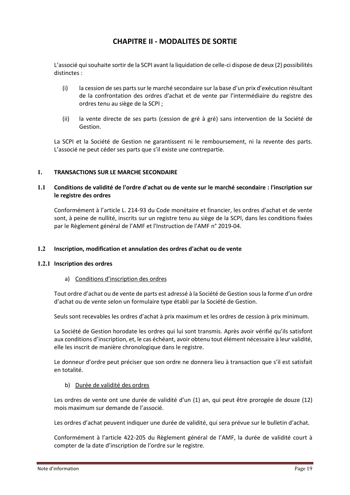# **CHAPITRE II - MODALITES DE SORTIE**

<span id="page-19-0"></span>L'associé qui souhaite sortir de la SCPI avant la liquidation de celle-ci dispose de deux (2) possibilités distinctes :

- (i) la cession de ses parts sur le marché secondaire sur la base d'un prix d'exécution résultant de la confrontation des ordres d'achat et de vente par l'intermédiaire du registre des ordres tenu au siège de la SCPI ;
- (ii) la vente directe de ses parts (cession de gré à gré) sans intervention de la Société de Gestion.

La SCPI et la Société de Gestion ne garantissent ni le remboursement, ni la revente des parts. L'associé ne peut céder ses parts que s'il existe une contrepartie.

#### <span id="page-19-1"></span>**1. TRANSACTIONS SUR LE MARCHE SECONDAIRE**

#### <span id="page-19-2"></span>**1.1 Conditions de validité de l'ordre d'achat ou de vente sur le marché secondaire : l'inscription sur le registre des ordres**

Conformément à l'article L. 214-93 du Code monétaire et financier, les ordres d'achat et de vente sont, à peine de nullité, inscrits sur un registre tenu au siège de la SCPI, dans les conditions fixées par le Règlement général de l'AMF et l'Instruction de l'AMF n° 2019-04.

#### <span id="page-19-3"></span>**1.2 Inscription, modification et annulation des ordres d'achat ou de vente**

#### <span id="page-19-4"></span>**1.2.1 Inscription des ordres**

#### a) Conditions d'inscription des ordres

Tout ordre d'achat ou de vente de parts est adressé à la Société de Gestion sous la forme d'un ordre d'achat ou de vente selon un formulaire type établi par la Société de Gestion.

Seuls sont recevables les ordres d'achat à prix maximum et les ordres de cession à prix minimum.

La Société de Gestion horodate les ordres qui lui sont transmis. Après avoir vérifié qu'ils satisfont aux conditions d'inscription, et, le cas échéant, avoir obtenu tout élément nécessaire à leur validité, elle les inscrit de manière chronologique dans le registre.

Le donneur d'ordre peut préciser que son ordre ne donnera lieu à transaction que s'il est satisfait en totalité.

#### b) Durée de validité des ordres

Les ordres de vente ont une durée de validité d'un (1) an, qui peut être prorogée de douze (12) mois maximum sur demande de l'associé.

Les ordres d'achat peuvent indiquer une durée de validité, qui sera prévue sur le bulletin d'achat.

Conformément à l'article 422-205 du Règlement général de l'AMF, la durée de validité court à compter de la date d'inscription de l'ordre sur le registre.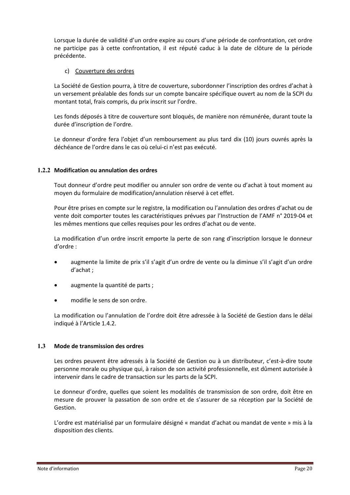Lorsque la durée de validité d'un ordre expire au cours d'une période de confrontation, cet ordre ne participe pas à cette confrontation, il est réputé caduc à la date de clôture de la période précédente.

#### c) Couverture des ordres

La Société de Gestion pourra, à titre de couverture, subordonner l'inscription des ordres d'achat à un versement préalable des fonds sur un compte bancaire spécifique ouvert au nom de la SCPI du montant total, frais compris, du prix inscrit sur l'ordre.

Les fonds déposés à titre de couverture sont bloqués, de manière non rémunérée, durant toute la durée d'inscription de l'ordre.

Le donneur d'ordre fera l'objet d'un remboursement au plus tard dix (10) jours ouvrés après la déchéance de l'ordre dans le cas où celui-ci n'est pas exécuté.

#### <span id="page-20-0"></span>**1.2.2 Modification ou annulation des ordres**

Tout donneur d'ordre peut modifier ou annuler son ordre de vente ou d'achat à tout moment au moyen du formulaire de modification/annulation réservé à cet effet.

Pour être prises en compte sur le registre, la modification ou l'annulation des ordres d'achat ou de vente doit comporter toutes les caractéristiques prévues par l'Instruction de l'AMF n° 2019-04 et les mêmes mentions que celles requises pour les ordres d'achat ou de vente.

La modification d'un ordre inscrit emporte la perte de son rang d'inscription lorsque le donneur d'ordre :

- augmente la limite de prix s'il s'agit d'un ordre de vente ou la diminue s'il s'agit d'un ordre d'achat ;
- augmente la quantité de parts ;
- modifie le sens de son ordre.

La modification ou l'annulation de l'ordre doit être adressée à la Société de Gestion dans le délai indiqué à l'Article [1.4.2.](#page-22-2)

#### <span id="page-20-1"></span>**1.3 Mode de transmission des ordres**

Les ordres peuvent être adressés à la Société de Gestion ou à un distributeur, c'est-à-dire toute personne morale ou physique qui, à raison de son activité professionnelle, est dûment autorisée à intervenir dans le cadre de transaction sur les parts de la SCPI.

Le donneur d'ordre, quelles que soient les modalités de transmission de son ordre, doit être en mesure de prouver la passation de son ordre et de s'assurer de sa réception par la Société de Gestion.

L'ordre est matérialisé par un formulaire désigné « mandat d'achat ou mandat de vente » mis à la disposition des clients.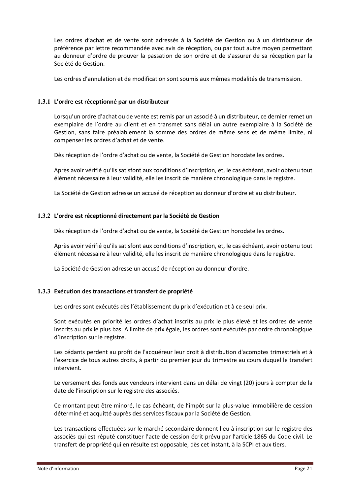Les ordres d'achat et de vente sont adressés à la Société de Gestion ou à un distributeur de préférence par lettre recommandée avec avis de réception, ou par tout autre moyen permettant au donneur d'ordre de prouver la passation de son ordre et de s'assurer de sa réception par la Société de Gestion.

Les ordres d'annulation et de modification sont soumis aux mêmes modalités de transmission.

#### <span id="page-21-0"></span>**1.3.1 L'ordre est réceptionné par un distributeur**

Lorsqu'un ordre d'achat ou de vente est remis par un associé à un distributeur, ce dernier remet un exemplaire de l'ordre au client et en transmet sans délai un autre exemplaire à la Société de Gestion, sans faire préalablement la somme des ordres de même sens et de même limite, ni compenser les ordres d'achat et de vente.

Dès réception de l'ordre d'achat ou de vente, la Société de Gestion horodate les ordres.

Après avoir vérifié qu'ils satisfont aux conditions d'inscription, et, le cas échéant, avoir obtenu tout élément nécessaire à leur validité, elle les inscrit de manière chronologique dans le registre.

La Société de Gestion adresse un accusé de réception au donneur d'ordre et au distributeur.

#### <span id="page-21-1"></span>**1.3.2 L'ordre est réceptionné directement par la Société de Gestion**

Dès réception de l'ordre d'achat ou de vente, la Société de Gestion horodate les ordres.

Après avoir vérifié qu'ils satisfont aux conditions d'inscription, et, le cas échéant, avoir obtenu tout élément nécessaire à leur validité, elle les inscrit de manière chronologique dans le registre.

La Société de Gestion adresse un accusé de réception au donneur d'ordre.

#### <span id="page-21-2"></span>**1.3.3 Exécution des transactions et transfert de propriété**

Les ordres sont exécutés dès l'établissement du prix d'exécution et à ce seul prix.

Sont exécutés en priorité les ordres d'achat inscrits au prix le plus élevé et les ordres de vente inscrits au prix le plus bas. A limite de prix égale, les ordres sont exécutés par ordre chronologique d'inscription sur le registre.

Les cédants perdent au profit de l'acquéreur leur droit à distribution d'acomptes trimestriels et à l'exercice de tous autres droits, à partir du premier jour du trimestre au cours duquel le transfert intervient.

Le versement des fonds aux vendeurs intervient dans un délai de vingt (20) jours à compter de la date de l'inscription sur le registre des associés.

Ce montant peut être minoré, le cas échéant, de l'impôt sur la plus-value immobilière de cession déterminé et acquitté auprès des services fiscaux par la Société de Gestion.

Les transactions effectuées sur le marché secondaire donnent lieu à inscription sur le registre des associés qui est réputé constituer l'acte de cession écrit prévu par l'article 1865 du Code civil. Le transfert de propriété qui en résulte est opposable, dès cet instant, à la SCPI et aux tiers.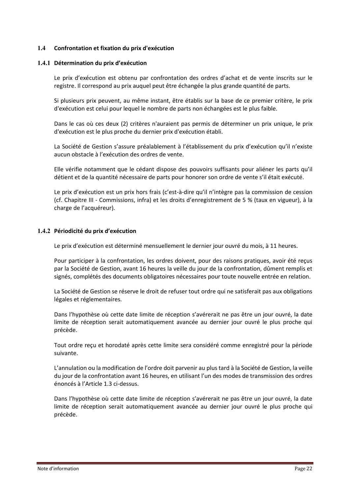#### <span id="page-22-0"></span>**1.4 Confrontation et fixation du prix d'exécution**

#### <span id="page-22-1"></span>**1.4.1 Détermination du prix d'exécution**

Le prix d'exécution est obtenu par confrontation des ordres d'achat et de vente inscrits sur le registre. Il correspond au prix auquel peut être échangée la plus grande quantité de parts.

Si plusieurs prix peuvent, au même instant, être établis sur la base de ce premier critère, le prix d'exécution est celui pour lequel le nombre de parts non échangées est le plus faible.

Dans le cas où ces deux (2) critères n'auraient pas permis de déterminer un prix unique, le prix d'exécution est le plus proche du dernier prix d'exécution établi.

La Société de Gestion s'assure préalablement à l'établissement du prix d'exécution qu'il n'existe aucun obstacle à l'exécution des ordres de vente.

Elle vérifie notamment que le cédant dispose des pouvoirs suffisants pour aliéner les parts qu'il détient et de la quantité nécessaire de parts pour honorer son ordre de vente s'il était exécuté.

Le prix d'exécution est un prix hors frais (c'est-à-dire qu'il n'intègre pas la commission de cession (cf. Chapitre III - Commissions, infra) et les droits d'enregistrement de 5 % (taux en vigueur), à la charge de l'acquéreur).

#### <span id="page-22-2"></span>**1.4.2 Périodicité du prix d'exécution**

Le prix d'exécution est déterminé mensuellement le dernier jour ouvré du mois, à 11 heures.

Pour participer à la confrontation, les ordres doivent, pour des raisons pratiques, avoir été reçus par la Société de Gestion, avant 16 heures la veille du jour de la confrontation, dûment remplis et signés, complétés des documents obligatoires nécessaires pour toute nouvelle entrée en relation.

La Société de Gestion se réserve le droit de refuser tout ordre qui ne satisferait pas aux obligations légales et réglementaires.

Dans l'hypothèse où cette date limite de réception s'avérerait ne pas être un jour ouvré, la date limite de réception serait automatiquement avancée au dernier jour ouvré le plus proche qui précède.

Tout ordre reçu et horodaté après cette limite sera considéré comme enregistré pour la période suivante.

L'annulation ou la modification de l'ordre doit parvenir au plus tard à la Société de Gestion, la veille du jour de la confrontation avant 16 heures, en utilisant l'un des modes de transmission des ordres énoncés à l'Article [1.3](#page-20-1) ci-dessus.

Dans l'hypothèse où cette date limite de réception s'avérerait ne pas être un jour ouvré, la date limite de réception serait automatiquement avancée au dernier jour ouvré le plus proche qui précède.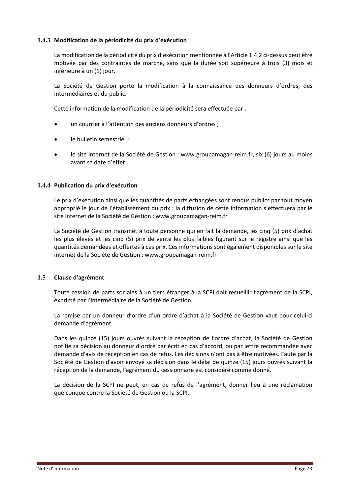#### <span id="page-23-0"></span>**1.4.3 Modification de la périodicité du prix d'exécution**

La modification de la périodicité du prix d'exécution mentionnée à l'Article [1.4.2](#page-22-2) ci-dessus peut être motivée par des contraintes de marché, sans que la durée soit supérieure à trois (3) mois et inférieure à un (1) jour.

La Société de Gestion porte la modification à la connaissance des donneurs d'ordres, des intermédiaires et du public.

Cette information de la modification de la périodicité sera effectuée par :

- un courrier à l'attention des anciens donneurs d'ordres ;
- le bulletin semestriel ;
- le site internet de la Société de Gestion : www.groupamagan-reim.fr, six (6) jours au moins avant sa date d'effet.

#### <span id="page-23-1"></span>**1.4.4 Publication du prix d'exécution**

Le prix d'exécution ainsi que les quantités de parts échangées sont rendus publics par tout moyen approprié le jour de l'établissement du prix : la diffusion de cette information s'effectuera par le site internet de la Société de Gestion : www.groupamagan-reim.fr

La Société de Gestion transmet à toute personne qui en fait la demande, les cinq (5) prix d'achat les plus élevés et les cinq (5) prix de vente les plus faibles figurant sur le registre ainsi que les quantités demandées et offertes à ces prix. Ces informations sont également disponibles sur le site internet de la Société de Gestion : www.groupamagan-reim.fr

#### <span id="page-23-2"></span>**1.5 Clause d'agrément**

Toute cession de parts sociales à un tiers étranger à la SCPI doit recueillir l'agrément de la SCPI, exprimé par l'intermédiaire de la Société de Gestion.

La remise par un donneur d'ordre d'un ordre d'achat à la Société de Gestion vaut pour celui-ci demande d'agrément.

Dans les quinze (15) jours ouvrés suivant la réception de l'ordre d'achat, la Société de Gestion notifie sa décision au donneur d'ordre par écrit en cas d'accord, ou par lettre recommandée avec demande d'avis de réception en cas de refus. Les décisions n'ont pas à être motivées. Faute par la Société de Gestion d'avoir envoyé sa décision dans le délai de quinze (15) jours ouvrés suivant la réception de la demande, l'agrément du cessionnaire est considéré comme donné.

La décision de la SCPI ne peut, en cas de refus de l'agrément, donner lieu à une réclamation quelconque contre la Société de Gestion ou la SCPI.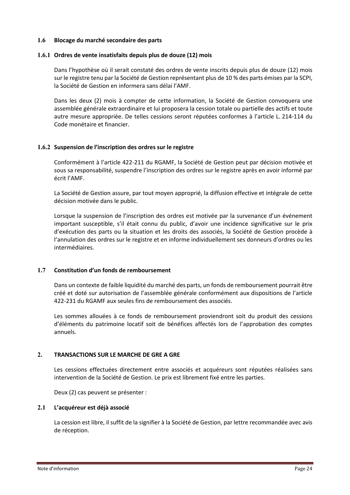#### <span id="page-24-0"></span>**1.6 Blocage du marché secondaire des parts**

#### <span id="page-24-1"></span>**1.6.1 Ordres de vente insatisfaits depuis plus de douze (12) mois**

Dans l'hypothèse où il serait constaté des ordres de vente inscrits depuis plus de douze (12) mois sur le registre tenu par la Société de Gestion représentant plus de 10 % des parts émises par la SCPI, la Société de Gestion en informera sans délai l'AMF.

Dans les deux (2) mois à compter de cette information, la Société de Gestion convoquera une assemblée générale extraordinaire et lui proposera la cession totale ou partielle des actifs et toute autre mesure appropriée. De telles cessions seront réputées conformes à l'article L. 214-114 du Code monétaire et financier.

#### <span id="page-24-2"></span>**1.6.2 Suspension de l'inscription des ordres sur le registre**

Conformément à l'article 422-211 du RGAMF, la Société de Gestion peut par décision motivée et sous sa responsabilité, suspendre l'inscription des ordres sur le registre après en avoir informé par écrit l'AMF.

La Société de Gestion assure, par tout moyen approprié, la diffusion effective et intégrale de cette décision motivée dans le public.

Lorsque la suspension de l'inscription des ordres est motivée par la survenance d'un événement important susceptible, s'il était connu du public, d'avoir une incidence significative sur le prix d'exécution des parts ou la situation et les droits des associés, la Société de Gestion procède à l'annulation des ordres sur le registre et en informe individuellement ses donneurs d'ordres ou les intermédiaires.

#### <span id="page-24-3"></span>**1.7 Constitution d'un fonds de remboursement**

Dans un contexte de faible liquidité du marché des parts, un fonds de remboursement pourrait être créé et doté sur autorisation de l'assemblée générale conformément aux dispositions de l'article 422-231 du RGAMF aux seules fins de remboursement des associés.

Les sommes allouées à ce fonds de remboursement proviendront soit du produit des cessions d'éléments du patrimoine locatif soit de bénéfices affectés lors de l'approbation des comptes annuels.

#### <span id="page-24-4"></span>**2. TRANSACTIONS SUR LE MARCHE DE GRE A GRE**

Les cessions effectuées directement entre associés et acquéreurs sont réputées réalisées sans intervention de la Société de Gestion. Le prix est librement fixé entre les parties.

Deux (2) cas peuvent se présenter :

#### <span id="page-24-5"></span>**2.1 L'acquéreur est déjà associé**

La cession est libre, il suffit de la signifier à la Société de Gestion, par lettre recommandée avec avis de réception.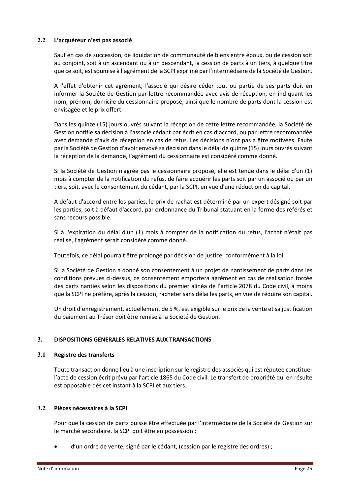#### <span id="page-25-0"></span>**2.2 L'acquéreur n'est pas associé**

Sauf en cas de succession, de liquidation de communauté de biens entre époux, ou de cession soit au conjoint, soit à un ascendant ou à un descendant, la cession de parts à un tiers, à quelque titre que ce soit, est soumise à l'agrément de la SCPI exprimé par l'intermédiaire de la Société de Gestion.

A l'effet d'obtenir cet agrément, l'associé qui désire céder tout ou partie de ses parts doit en informer la Société de Gestion par lettre recommandée avec avis de réception, en indiquant les nom, prénom, domicile du cessionnaire proposé, ainsi que le nombre de parts dont la cession est envisagée et le prix offert.

Dans les quinze (15) jours ouvrés suivant la réception de cette lettre recommandée, la Société de Gestion notifie sa décision à l'associé cédant par écrit en cas d'accord, ou par lettre recommandée avec demande d'avis de réception en cas de refus. Les décisions n'ont pas à être motivées. Faute par la Société de Gestion d'avoir envoyé sa décision dans le délai de quinze (15) jours ouvrés suivant la réception de la demande, l'agrément du cessionnaire est considéré comme donné.

Si la Société de Gestion n'agrée pas le cessionnaire proposé, elle est tenue dans le délai d'un (1) mois à compter de la notification du refus, de faire acquérir les parts soit par un associé ou par un tiers, soit, avec le consentement du cédant, par la SCPI, en vue d'une réduction du capital.

A défaut d'accord entre les parties, le prix de rachat est déterminé par un expert désigné soit par les parties, soit à défaut d'accord, par ordonnance du Tribunal statuant en la forme des référés et sans recours possible.

Si à l'expiration du délai d'un (1) mois à compter de la notification du refus, l'achat n'était pas réalisé, l'agrément serait considéré comme donné.

Toutefois, ce délai pourrait être prolongé par décision de justice, conformément à la loi.

Si la Société de Gestion a donné son consentement à un projet de nantissement de parts dans les conditions prévues ci-dessus, ce consentement emportera agrément en cas de réalisation forcée des parts nanties selon les dispositions du premier alinéa de l'article 2078 du Code civil, à moins que la SCPI ne préfère, après la cession, racheter sans délai les parts, en vue de réduire son capital.

Un droit d'enregistrement, actuellement de 5 %, est exigible sur le prix de la vente et sa justification du paiement au Trésor doit être remise à la Société de Gestion.

#### <span id="page-25-1"></span>**3. DISPOSITIONS GENERALES RELATIVES AUX TRANSACTIONS**

#### <span id="page-25-2"></span>**3.1 Registre des transferts**

Toute transaction donne lieu à une inscription sur le registre des associés qui est réputée constituer l'acte de cession écrit prévu par l'article 1865 du Code civil. Le transfert de propriété qui en résulte est opposable dès cet instant à la SCPI et aux tiers.

#### <span id="page-25-3"></span>**3.2 Pièces nécessaires à la SCPI**

Pour que la cession de parts puisse être effectuée par l'intermédiaire de la Société de Gestion sur le marché secondaire, la SCPI doit être en possession :

d'un ordre de vente, signé par le cédant, (cession par le registre des ordres) ;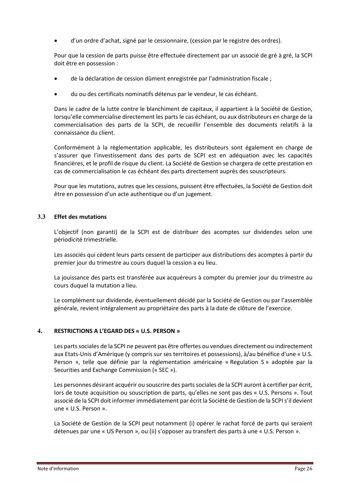• d'un ordre d'achat, signé par le cessionnaire, (cession par le registre des ordres).

Pour que la cession de parts puisse être effectuée directement par un associé de gré à gré, la SCPI doit être en possession :

- de la déclaration de cession dûment enregistrée par l'administration fiscale ;
- du ou des certificats nominatifs détenus par le vendeur, le cas échéant.

Dans le cadre de la lutte contre le blanchiment de capitaux, il appartient à la Société de Gestion, lorsqu'elle commercialise directement les parts le cas échéant, ou aux distributeurs en charge de la commercialisation des parts de la SCPI, de recueillir l'ensemble des documents relatifs à la connaissance du client.

Conformément à la règlementation applicable, les distributeurs sont également en charge de s'assurer que l'investissement dans des parts de SCPI est en adéquation avec les capacités financières, et le profil de risque du client. La Société de Gestion se chargera de cette prestation en cas de commercialisation le cas échéant des parts directement auprès des souscripteurs.

Pour que les mutations, autres que les cessions, puissent être effectuées, la Société de Gestion doit être en possession d'un acte authentique ou d'un jugement.

#### <span id="page-26-0"></span>**3.3 Effet des mutations**

L'objectif (non garanti) de la SCPI est de distribuer des acomptes sur dividendes selon une périodicité trimestrielle.

Les associés qui cèdent leurs parts cessent de participer aux distributions des acomptes à partir du premier jour du trimestre au cours duquel la cession a eu lieu.

La jouissance des parts est transférée aux acquéreurs à compter du premier jour du trimestre au cours duquel la mutation a lieu.

Le complément sur dividende, éventuellement décidé par la Société de Gestion ou par l'assemblée générale, revient intégralement au propriétaire des parts à la date de clôture de l'exercice.

#### <span id="page-26-1"></span>**4. RESTRICTIONS A L'EGARD DES « U.S. PERSON »**

Les parts sociales de la SCPI ne peuvent pas être offertes ou vendues directement ou indirectement aux Etats-Unis d'Amérique (y compris sur ses territoires et possessions), à/au bénéfice d'une « U.S. Person », telle que définie par la réglementation américaine « Regulation S » adoptée par la Securities and Exchange Commission (« SEC »).

Les personnes désirant acquérir ou souscrire des parts sociales de la SCPI auront à certifier par écrit, lors de toute acquisition ou souscription de parts, qu'elles ne sont pas des « U.S. Persons ». Tout associé de la SCPI doit informer immédiatement par écrit la Société de Gestion de la SCPI s'il devient une « U.S. Person ».

La Société de Gestion de la SCPI peut notamment (i) opérer le rachat forcé de parts qui seraient détenues par une « US Person », ou (ii) s'opposer au transfert des parts à une « U.S. Person ».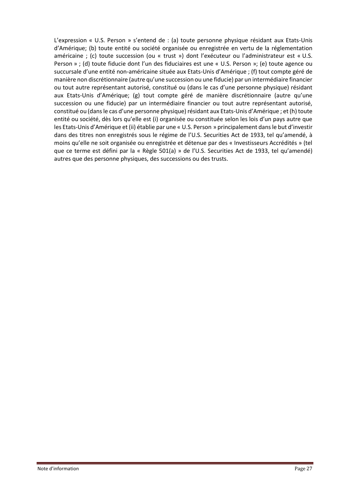L'expression « U.S. Person » s'entend de : (a) toute personne physique résidant aux Etats-Unis d'Amérique; (b) toute entité ou société organisée ou enregistrée en vertu de la réglementation américaine ; (c) toute succession (ou « trust ») dont l'exécuteur ou l'administrateur est « U.S. Person » ; (d) toute fiducie dont l'un des fiduciaires est une « U.S. Person »; (e) toute agence ou succursale d'une entité non-américaine située aux Etats-Unis d'Amérique ; (f) tout compte géré de manière non discrétionnaire (autre qu'une succession ou une fiducie) par un intermédiaire financier ou tout autre représentant autorisé, constitué ou (dans le cas d'une personne physique) résidant aux Etats-Unis d'Amérique; (g) tout compte géré de manière discrétionnaire (autre qu'une succession ou une fiducie) par un intermédiaire financier ou tout autre représentant autorisé, constitué ou (dans le cas d'une personne physique) résidant aux Etats-Unis d'Amérique ; et (h) toute entité ou société, dès lors qu'elle est (i) organisée ou constituée selon les lois d'un pays autre que les Etats-Unis d'Amérique et (ii) établie par une « U.S. Person » principalement dans le but d'investir dans des titres non enregistrés sous le régime de l'U.S. Securities Act de 1933, tel qu'amendé, à moins qu'elle ne soit organisée ou enregistrée et détenue par des « Investisseurs Accrédités » (tel que ce terme est défini par la « Règle 501(a) » de l'U.S. Securities Act de 1933, tel qu'amendé) autres que des personne physiques, des successions ou des trusts.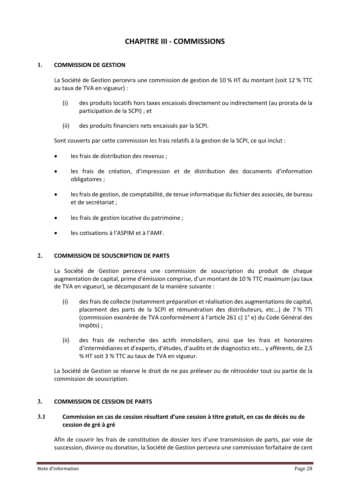# **CHAPITRE III - COMMISSIONS**

#### <span id="page-28-1"></span><span id="page-28-0"></span>**1. COMMISSION DE GESTION**

La Société de Gestion percevra une commission de gestion de 10 % HT du montant (soit 12 % TTC au taux de TVA en vigueur) :

- (i) des produits locatifs hors taxes encaissés directement ou indirectement (au prorata de la participation de la SCPI) ; et
- (ii) des produits financiers nets encaissés par la SCPI.

Sont couverts par cette commission les frais relatifs à la gestion de la SCPI, ce qui inclut :

- les frais de distribution des revenus ;
- les frais de création, d'impression et de distribution des documents d'information obligatoires ;
- les frais de gestion, de comptabilité, de tenue informatique du fichier des associés, de bureau et de secrétariat ;
- les frais de gestion locative du patrimoine ;
- les cotisations à l'ASPIM et à l'AMF.

#### <span id="page-28-2"></span>**2. COMMISSION DE SOUSCRIPTION DE PARTS**

La Société de Gestion percevra une commission de souscription du produit de chaque augmentation de capital, prime d'émission comprise, d'un montant de 10 % TTC maximum (au taux de TVA en vigueur), se décomposant de la manière suivante :

- (i) des frais de collecte (notamment préparation et réalisation des augmentations de capital, placement des parts de la SCPI et rémunération des distributeurs, etc…) de 7 % TTI (commission exonérée de TVA conformément à l'article 261 c) 1° e) du Code Général des Impôts) ;
- (ii) des frais de recherche des actifs immobiliers, ainsi que les frais et honoraires d'intermédiaires et d'experts, d'études, d'audits et de diagnostics etc… y afférents, de 2,5 % HT soit 3 % TTC au taux de TVA en vigueur.

La Société de Gestion se réserve le droit de ne pas prélever ou de rétrocéder tout ou partie de la commission de souscription.

#### <span id="page-28-3"></span>**3. COMMISSION DE CESSION DE PARTS**

#### <span id="page-28-4"></span>**3.1 Commission en cas de cession résultant d'une cession à titre gratuit, en cas de décès ou de cession de gré à gré**

Afin de couvrir les frais de constitution de dossier lors d'une transmission de parts, par voie de succession, divorce ou donation, la Société de Gestion percevra une commission forfaitaire de cent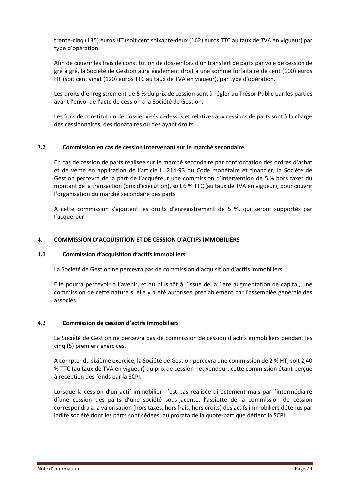trente-cinq (135) euros HT (soit cent soixante-deux (162) euros TTC au taux de TVA en vigueur) par type d'opération.

Afin de couvrir les frais de constitution de dossier lors d'un transfert de parts par voie de cession de gré à gré, la Société de Gestion aura également droit à une somme forfaitaire de cent (100) euros HT (soit cent vingt (120) euros TTC au taux de TVA en vigueur), par type d'opération.

Les droits d'enregistrement de 5 % du prix de cession sont à régler au Trésor Public par les parties avant l'envoi de l'acte de cession à la Société de Gestion.

Les frais de constitution de dossier visés ci-dessus et relatives aux cessions de parts sont à la charge des cessionnaires, des donataires ou des ayant droits.

#### <span id="page-29-0"></span>**3.2 Commission en cas de cession intervenant sur le marché secondaire**

En cas de cession de parts réalisée sur le marché secondaire par confrontation des ordres d'achat et de vente en application de l'article L. 214-93 du Code monétaire et financier, la Société de Gestion percevra de la part de l'acquéreur une commission d'intervention de 5 % hors taxes du montant de la transaction (prix d'exécution), soit 6 % TTC (au taux de TVA en vigueur), pour couvrir l'organisation du marché secondaire des parts.

A cette commission s'ajoutent les droits d'enregistrement de 5 %, qui seront supportés par l'acquéreur.

#### <span id="page-29-1"></span>**4. COMMISSION D'ACQUISITION ET DE CESSION D'ACTIFS IMMOBILIERS**

#### <span id="page-29-2"></span>**4.1 Commission d'acquisition d'actifs immobiliers**

La Société de Gestion ne percevra pas de commission d'acquisition d'actifs immobiliers.

Elle pourra percevoir à l'avenir, et au plus tôt à l'issue de la 1ère augmentation de capital, une commission de cette nature si elle y a été autorisée préalablement par l'assemblée générale des associés.

#### <span id="page-29-3"></span>**4.2 Commission de cession d'actifs immobiliers**

La Société de Gestion ne percevra pas de commission de cession d'actifs immobiliers pendant les cinq (5) premiers exercices.

A compter du sixième exercice, la Société de Gestion percevra une commission de 2 % HT, soit 2,40 % TTC (au taux de TVA en vigueur) du prix de cession net vendeur, cette commission étant perçue à réception des fonds par la SCPI.

Lorsque la cession d'un actif immobilier n'est pas réalisée directement mais par l'intermédiaire d'une cession des parts d'une société sous-jacente, l'assiette de la commission de cession correspondra à la valorisation (hors taxes, hors frais, hors droits) des actifs immobiliers détenus par ladite société dont les parts sont cédées, au prorata de la quote-part que détient la SCPI.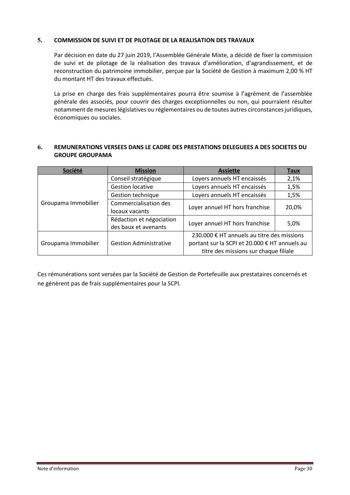#### <span id="page-30-0"></span>**5. COMMISSION DE SUIVI ET DE PILOTAGE DE LA REALISATION DES TRAVAUX**

Par décision en date du 27 juin 2019, l'Assemblée Générale Mixte, a décidé de fixer la commission de suivi et de pilotage de la réalisation des travaux d'amélioration, d'agrandissement, et de reconstruction du patrimoine immobilier, perçue par la Société de Gestion à maximum 2,00 % HT du montant HT des travaux effectués.

La prise en charge des frais supplémentaires pourra être soumise à l'agrément de l'assemblée générale des associés, pour couvrir des charges exceptionnelles ou non, qui pourraient résulter notamment de mesures législatives ou réglementaires ou de toutes autres circonstances juridiques, économiques ou sociales.

#### <span id="page-30-1"></span>**6. REMUNERATIONS VERSEES DANS LE CADRE DES PRESTATIONS DELEGUEES A DES SOCIETES DU GROUPE GROUPAMA**

| Société             | <b>Mission</b>                | <b>Assiette</b>                               | <u>Taux</u> |
|---------------------|-------------------------------|-----------------------------------------------|-------------|
|                     | Conseil stratégique           | Loyers annuels HT encaissés                   | 2,1%        |
|                     | <b>Gestion locative</b>       | Loyers annuels HT encaissés                   | 1,5%        |
|                     | <b>Gestion technique</b>      | Loyers annuels HT encaissés                   | 1,5%        |
| Groupama Immobilier | Commercialisation des         | Loyer annuel HT hors franchise                | 20,0%       |
|                     | locaux vacants                |                                               |             |
|                     | Rédaction et négociation      | Loyer annuel HT hors franchise                | 5,0%        |
|                     | des baux et avenants          |                                               |             |
|                     |                               | 230.000 € HT annuels au titre des missions    |             |
| Groupama Immobilier | <b>Gestion Administrative</b> | portant sur la SCPI et 20.000 € HT annuels au |             |
|                     |                               | titre des missions sur chaque filiale         |             |

Ces rémunérations sont versées par la Société de Gestion de Portefeuille aux prestataires concernés et ne génèrent pas de frais supplémentaires pour la SCPI.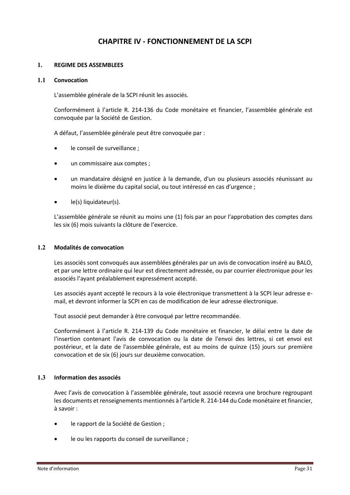# **CHAPITRE IV - FONCTIONNEMENT DE LA SCPI**

#### <span id="page-31-1"></span><span id="page-31-0"></span>**1. REGIME DES ASSEMBLEES**

#### <span id="page-31-2"></span>**1.1 Convocation**

L'assemblée générale de la SCPI réunit les associés.

Conformément à l'article R. 214-136 du Code monétaire et financier, l'assemblée générale est convoquée par la Société de Gestion.

A défaut, l'assemblée générale peut être convoquée par :

- le conseil de surveillance ;
- un commissaire aux comptes;
- un mandataire désigné en justice à la demande, d'un ou plusieurs associés réunissant au moins le dixième du capital social, ou tout intéressé en cas d'urgence ;
- le(s) liquidateur(s).

L'assemblée générale se réunit au moins une (1) fois par an pour l'approbation des comptes dans les six (6) mois suivants la clôture de l'exercice.

#### <span id="page-31-3"></span>**1.2 Modalités de convocation**

Les associés sont convoqués aux assemblées générales par un avis de convocation inséré au BALO, et par une lettre ordinaire qui leur est directement adressée, ou par courrier électronique pour les associés l'ayant préalablement expressément accepté.

Les associés ayant accepté le recours à la voie électronique transmettent à la SCPI leur adresse email, et devront informer la SCPI en cas de modification de leur adresse électronique.

Tout associé peut demander à être convoqué par lettre recommandée.

Conformément à l'article R. 214-139 du Code monétaire et financier, le délai entre la date de l'insertion contenant l'avis de convocation ou la date de l'envoi des lettres, si cet envoi est postérieur, et la date de l'assemblée générale, est au moins de quinze (15) jours sur première convocation et de six (6) jours sur deuxième convocation.

#### <span id="page-31-4"></span>**1.3 Information des associés**

Avec l'avis de convocation à l'assemblée générale, tout associé recevra une brochure regroupant les documents et renseignements mentionnés à l'article R. 214-144 du Code monétaire et financier, à savoir :

- le rapport de la Société de Gestion ;
- le ou les rapports du conseil de surveillance ;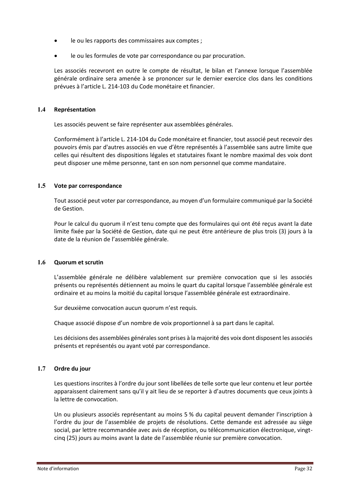- le ou les rapports des commissaires aux comptes ;
- le ou les formules de vote par correspondance ou par procuration.

Les associés recevront en outre le compte de résultat, le bilan et l'annexe lorsque l'assemblée générale ordinaire sera amenée à se prononcer sur le dernier exercice clos dans les conditions prévues à l'article L. 214-103 du Code monétaire et financier.

#### <span id="page-32-0"></span>**1.4 Représentation**

Les associés peuvent se faire représenter aux assemblées générales.

Conformément à l'article L. 214-104 du Code monétaire et financier, tout associé peut recevoir des pouvoirs émis par d'autres associés en vue d'être représentés à l'assemblée sans autre limite que celles qui résultent des dispositions légales et statutaires fixant le nombre maximal des voix dont peut disposer une même personne, tant en son nom personnel que comme mandataire.

#### <span id="page-32-1"></span>**1.5 Vote par correspondance**

Tout associé peut voter par correspondance, au moyen d'un formulaire communiqué par la Société de Gestion.

Pour le calcul du quorum il n'est tenu compte que des formulaires qui ont été reçus avant la date limite fixée par la Société de Gestion, date qui ne peut être antérieure de plus trois (3) jours à la date de la réunion de l'assemblée générale.

#### <span id="page-32-2"></span>**1.6 Quorum et scrutin**

L'assemblée générale ne délibère valablement sur première convocation que si les associés présents ou représentés détiennent au moins le quart du capital lorsque l'assemblée générale est ordinaire et au moins la moitié du capital lorsque l'assemblée générale est extraordinaire.

Sur deuxième convocation aucun quorum n'est requis.

Chaque associé dispose d'un nombre de voix proportionnel à sa part dans le capital.

Les décisions des assemblées générales sont prises à la majorité des voix dont disposent les associés présents et représentés ou ayant voté par correspondance.

#### <span id="page-32-3"></span>**1.7 Ordre du jour**

Les questions inscrites à l'ordre du jour sont libellées de telle sorte que leur contenu et leur portée apparaissent clairement sans qu'il y ait lieu de se reporter à d'autres documents que ceux joints à la lettre de convocation.

Un ou plusieurs associés représentant au moins 5 % du capital peuvent demander l'inscription à l'ordre du jour de l'assemblée de projets de résolutions. Cette demande est adressée au siège social, par lettre recommandée avec avis de réception, ou télécommunication électronique, vingtcinq (25) jours au moins avant la date de l'assemblée réunie sur première convocation.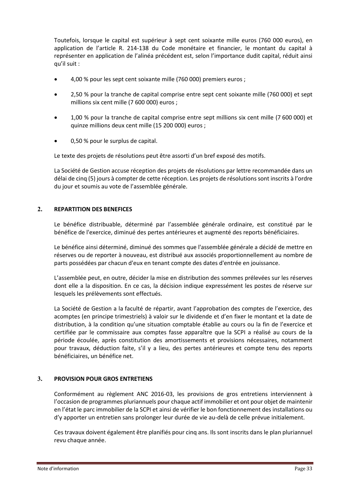Toutefois, lorsque le capital est supérieur à sept cent soixante mille euros (760 000 euros), en application de l'article R. 214-138 du Code monétaire et financier, le montant du capital à représenter en application de l'alinéa précédent est, selon l'importance dudit capital, réduit ainsi qu'il suit :

- 4,00 % pour les sept cent soixante mille (760 000) premiers euros ;
- 2,50 % pour la tranche de capital comprise entre sept cent soixante mille (760 000) et sept millions six cent mille (7 600 000) euros ;
- 1,00 % pour la tranche de capital comprise entre sept millions six cent mille (7 600 000) et quinze millions deux cent mille (15 200 000) euros ;
- 0,50 % pour le surplus de capital.

Le texte des projets de résolutions peut être assorti d'un bref exposé des motifs.

La Société de Gestion accuse réception des projets de résolutions par lettre recommandée dans un délai de cinq (5) jours à compter de cette réception. Les projets de résolutionssont inscrits à l'ordre du jour et soumis au vote de l'assemblée générale.

#### <span id="page-33-0"></span>**2. REPARTITION DES BENEFICES**

Le bénéfice distribuable, déterminé par l'assemblée générale ordinaire, est constitué par le bénéfice de l'exercice, diminué des pertes antérieures et augmenté des reports bénéficiaires.

Le bénéfice ainsi déterminé, diminué des sommes que l'assemblée générale a décidé de mettre en réserves ou de reporter à nouveau, est distribué aux associés proportionnellement au nombre de parts possédées par chacun d'eux en tenant compte des dates d'entrée en jouissance.

L'assemblée peut, en outre, décider la mise en distribution des sommes prélevées sur les réserves dont elle a la disposition. En ce cas, la décision indique expressément les postes de réserve sur lesquels les prélèvements sont effectués.

La Société de Gestion a la faculté de répartir, avant l'approbation des comptes de l'exercice, des acomptes (en principe trimestriels) à valoir sur le dividende et d'en fixer le montant et la date de distribution, à la condition qu'une situation comptable établie au cours ou la fin de l'exercice et certifiée par le commissaire aux comptes fasse apparaître que la SCPI a réalisé au cours de la période écoulée, après constitution des amortissements et provisions nécessaires, notamment pour travaux, déduction faite, s'il y a lieu, des pertes antérieures et compte tenu des reports bénéficiaires, un bénéfice net.

#### <span id="page-33-1"></span>**3. PROVISION POUR GROS ENTRETIENS**

Conformément au règlement ANC 2016-03, les provisions de gros entretiens interviennent à l'occasion de programmes pluriannuels pour chaque actif immobilier et ont pour objet de maintenir en l'état le parc immobilier de la SCPI et ainsi de vérifier le bon fonctionnement des installations ou d'y apporter un entretien sans prolonger leur durée de vie au-delà de celle prévue initialement.

Ces travaux doivent également être planifiés pour cinq ans. Ils sont inscrits dans le plan pluriannuel revu chaque année.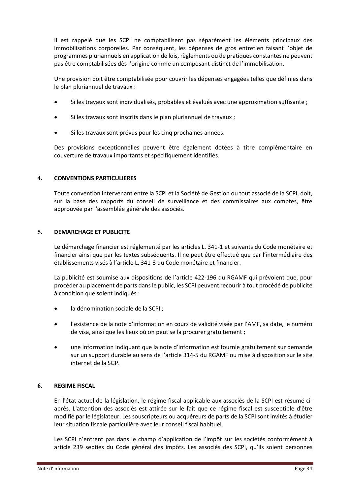Il est rappelé que les SCPI ne comptabilisent pas séparément les éléments principaux des immobilisations corporelles. Par conséquent, les dépenses de gros entretien faisant l'objet de programmes pluriannuels en application de lois, règlements ou de pratiques constantes ne peuvent pas être comptabilisées dès l'origine comme un composant distinct de l'immobilisation.

Une provision doit être comptabilisée pour couvrir les dépenses engagées telles que définies dans le plan pluriannuel de travaux :

- Si les travaux sont individualisés, probables et évalués avec une approximation suffisante ;
- Si les travaux sont inscrits dans le plan pluriannuel de travaux ;
- Si les travaux sont prévus pour les cinq prochaines années.

Des provisions exceptionnelles peuvent être également dotées à titre complémentaire en couverture de travaux importants et spécifiquement identifiés.

#### <span id="page-34-0"></span>**4. CONVENTIONS PARTICULIERES**

Toute convention intervenant entre la SCPI et la Société de Gestion ou tout associé de la SCPI, doit, sur la base des rapports du conseil de surveillance et des commissaires aux comptes, être approuvée par l'assemblée générale des associés.

#### <span id="page-34-1"></span>**5. DEMARCHAGE ET PUBLICITE**

Le démarchage financier est réglementé par les articles L. 341-1 et suivants du Code monétaire et financier ainsi que par les textes subséquents. Il ne peut être effectué que par l'intermédiaire des établissements visés à l'article L. 341-3 du Code monétaire et financier.

La publicité est soumise aux dispositions de l'article 422-196 du RGAMF qui prévoient que, pour procéder au placement de parts dans le public, les SCPI peuvent recourir à tout procédé de publicité à condition que soient indiqués :

- la dénomination sociale de la SCPI ;
- l'existence de la note d'information en cours de validité visée par l'AMF, sa date, le numéro de visa, ainsi que les lieux où on peut se la procurer gratuitement ;
- une information indiquant que la note d'information est fournie gratuitement sur demande sur un support durable au sens de l'article 314-5 du RGAMF ou mise à disposition sur le site internet de la SGP.

#### <span id="page-34-2"></span>**6. REGIME FISCAL**

En l'état actuel de la législation, le régime fiscal applicable aux associés de la SCPI est résumé ciaprès. L'attention des associés est attirée sur le fait que ce régime fiscal est susceptible d'être modifié par le législateur. Les souscripteurs ou acquéreurs de parts de la SCPI sont invités à étudier leur situation fiscale particulière avec leur conseil fiscal habituel.

Les SCPI n'entrent pas dans le champ d'application de l'impôt sur les sociétés conformément à article 239 septies du Code général des impôts. Les associés des SCPI, qu'ils soient personnes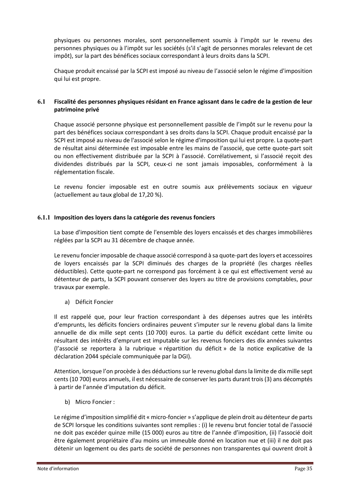physiques ou personnes morales, sont personnellement soumis à l'impôt sur le revenu des personnes physiques ou à l'impôt sur les sociétés (s'il s'agit de personnes morales relevant de cet impôt), sur la part des bénéfices sociaux correspondant à leurs droits dans la SCPI.

Chaque produit encaissé par la SCPI est imposé au niveau de l'associé selon le régime d'imposition qui lui est propre.

#### <span id="page-35-0"></span>**6.1 Fiscalité des personnes physiques résidant en France agissant dans le cadre de la gestion de leur patrimoine privé**

Chaque associé personne physique est personnellement passible de l'impôt sur le revenu pour la part des bénéfices sociaux correspondant à ses droits dans la SCPI. Chaque produit encaissé par la SCPI est imposé au niveau de l'associé selon le régime d'imposition qui lui est propre. La quote-part de résultat ainsi déterminée est imposable entre les mains de l'associé, que cette quote-part soit ou non effectivement distribuée par la SCPI à l'associé. Corrélativement, si l'associé reçoit des dividendes distribués par la SCPI, ceux-ci ne sont jamais imposables, conformément à la réglementation fiscale.

Le revenu foncier imposable est en outre soumis aux prélèvements sociaux en vigueur (actuellement au taux global de 17,20 %).

#### <span id="page-35-1"></span>**6.1.1 Imposition des loyers dans la catégorie des revenus fonciers**

La base d'imposition tient compte de l'ensemble des loyers encaissés et des charges immobilières réglées par la SCPI au 31 décembre de chaque année.

Le revenu foncier imposable de chaque associé correspond à sa quote-part des loyers et accessoires de loyers encaissés par la SCPI diminués des charges de la propriété (les charges réelles déductibles). Cette quote-part ne correspond pas forcément à ce qui est effectivement versé au détenteur de parts, la SCPI pouvant conserver des loyers au titre de provisions comptables, pour travaux par exemple.

a) Déficit Foncier

Il est rappelé que, pour leur fraction correspondant à des dépenses autres que les intérêts d'emprunts, les déficits fonciers ordinaires peuvent s'imputer sur le revenu global dans la limite annuelle de dix mille sept cents (10 700) euros. La partie du déficit excédant cette limite ou résultant des intérêts d'emprunt est imputable sur les revenus fonciers des dix années suivantes (l'associé se reportera à la rubrique « répartition du déficit » de la notice explicative de la déclaration 2044 spéciale communiquée par la DGI).

Attention, lorsque l'on procède à des déductions sur le revenu global dans la limite de dix mille sept cents (10 700) euros annuels, il est nécessaire de conserver les parts durant trois (3) ans décomptés à partir de l'année d'imputation du déficit.

b) Micro Foncier :

Le régime d'imposition simplifié dit « micro-foncier » s'applique de plein droit au détenteur de parts de SCPI lorsque les conditions suivantes sont remplies : (i) le revenu brut foncier total de l'associé ne doit pas excéder quinze mille (15 000) euros au titre de l'année d'imposition, (ii) l'associé doit être également propriétaire d'au moins un immeuble donné en location nue et (iii) il ne doit pas détenir un logement ou des parts de société de personnes non transparentes qui ouvrent droit à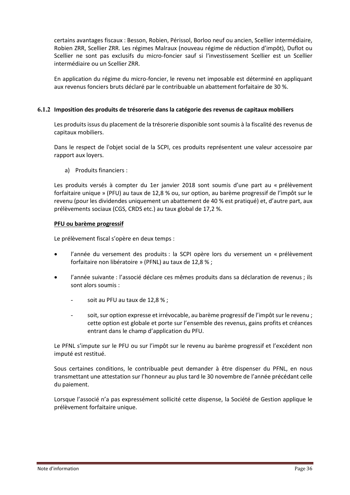certains avantages fiscaux : Besson, Robien, Périssol, Borloo neuf ou ancien, Scellier intermédiaire, Robien ZRR, Scellier ZRR. Les régimes Malraux (nouveau régime de réduction d'impôt), Duflot ou Scellier ne sont pas exclusifs du micro-foncier sauf si l'investissement Scellier est un Scellier intermédiaire ou un Scellier ZRR.

En application du régime du micro-foncier, le revenu net imposable est déterminé en appliquant aux revenus fonciers bruts déclaré par le contribuable un abattement forfaitaire de 30 %.

#### <span id="page-36-0"></span>**6.1.2 Imposition des produits de trésorerie dans la catégorie des revenus de capitaux mobiliers**

Les produits issus du placement de la trésorerie disponible sont soumis à la fiscalité des revenus de capitaux mobiliers.

Dans le respect de l'objet social de la SCPI, ces produits représentent une valeur accessoire par rapport aux loyers.

a) Produits financiers :

Les produits versés à compter du 1er janvier 2018 sont soumis d'une part au « prélèvement forfaitaire unique » (PFU) au taux de 12,8 % ou, sur option, au barème progressif de l'impôt sur le revenu (pour les dividendes uniquement un abattement de 40 % est pratiqué) et, d'autre part, aux prélèvements sociaux (CGS, CRDS etc.) au taux global de 17,2 %.

#### **PFU ou barème progressif**

Le prélèvement fiscal s'opère en deux temps :

- l'année du versement des produits : la SCPI opère lors du versement un « prélèvement forfaitaire non libératoire » (PFNL) au taux de 12,8 % ;
- l'année suivante : l'associé déclare ces mêmes produits dans sa déclaration de revenus ; ils sont alors soumis :
	- soit au PFU au taux de 12,8 %;
	- soit, sur option expresse et irrévocable, au barème progressif de l'impôt sur le revenu ; cette option est globale et porte sur l'ensemble des revenus, gains profits et créances entrant dans le champ d'application du PFU.

Le PFNL s'impute sur le PFU ou sur l'impôt sur le revenu au barème progressif et l'excédent non imputé est restitué.

Sous certaines conditions, le contribuable peut demander à être dispenser du PFNL, en nous transmettant une attestation sur l'honneur au plus tard le 30 novembre de l'année précédant celle du paiement.

Lorsque l'associé n'a pas expressément sollicité cette dispense, la Société de Gestion applique le prélèvement forfaitaire unique.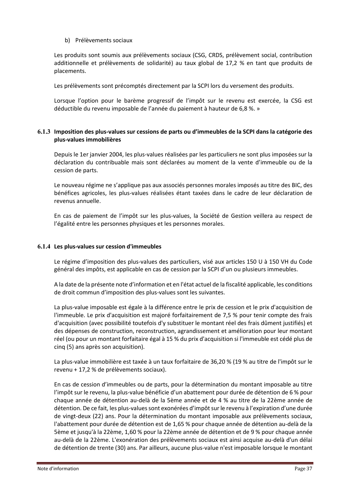#### b) Prélèvements sociaux

Les produits sont soumis aux prélèvements sociaux (CSG, CRDS, prélèvement social, contribution additionnelle et prélèvements de solidarité) au taux global de 17,2 % en tant que produits de placements.

Les prélèvements sont précomptés directement par la SCPI lors du versement des produits.

Lorsque l'option pour le barème progressif de l'impôt sur le revenu est exercée, la CSG est déductible du revenu imposable de l'année du paiement à hauteur de 6,8 %. »

#### <span id="page-37-0"></span>**6.1.3 Imposition des plus-values sur cessions de parts ou d'immeubles de la SCPI dans la catégorie des plus-values immobilières**

Depuis le 1er janvier 2004, les plus-values réalisées par les particuliers ne sont plus imposées sur la déclaration du contribuable mais sont déclarées au moment de la vente d'immeuble ou de la cession de parts.

Le nouveau régime ne s'applique pas aux associés personnes morales imposés au titre des BIC, des bénéfices agricoles, les plus-values réalisées étant taxées dans le cadre de leur déclaration de revenus annuelle.

En cas de paiement de l'impôt sur les plus-values, la Société de Gestion veillera au respect de l'égalité entre les personnes physiques et les personnes morales.

#### <span id="page-37-1"></span>**6.1.4 Les plus-values sur cession d'immeubles**

Le régime d'imposition des plus-values des particuliers, visé aux articles 150 U à 150 VH du Code général des impôts, est applicable en cas de cession par la SCPI d'un ou plusieurs immeubles.

A la date de la présente note d'information et en l'état actuel de la fiscalité applicable, les conditions de droit commun d'imposition des plus-values sont les suivantes.

La plus-value imposable est égale à la différence entre le prix de cession et le prix d'acquisition de l'immeuble. Le prix d'acquisition est majoré forfaitairement de 7,5 % pour tenir compte des frais d'acquisition (avec possibilité toutefois d'y substituer le montant réel des frais dûment justifiés) et des dépenses de construction, reconstruction, agrandissement et amélioration pour leur montant réel (ou pour un montant forfaitaire égal à 15 % du prix d'acquisition si l'immeuble est cédé plus de cinq (5) ans après son acquisition).

La plus-value immobilière est taxée à un taux forfaitaire de 36,20 % (19 % au titre de l'impôt sur le revenu + 17,2 % de prélèvements sociaux).

En cas de cession d'immeubles ou de parts, pour la détermination du montant imposable au titre l'impôt sur le revenu, la plus-value bénéficie d'un abattement pour durée de détention de 6 % pour chaque année de détention au-delà de la 5ème année et de 4 % au titre de la 22ème année de détention. De ce fait, les plus-values sont exonérées d'impôt sur le revenu à l'expiration d'une durée de vingt-deux (22) ans. Pour la détermination du montant imposable aux prélèvements sociaux, l'abattement pour durée de détention est de 1,65 % pour chaque année de détention au-delà de la 5ème et jusqu'à la 22ème, 1,60 % pour la 22ème année de détention et de 9 % pour chaque année au-delà de la 22ème. L'exonération des prélèvements sociaux est ainsi acquise au-delà d'un délai de détention de trente (30) ans. Par ailleurs, aucune plus-value n'est imposable lorsque le montant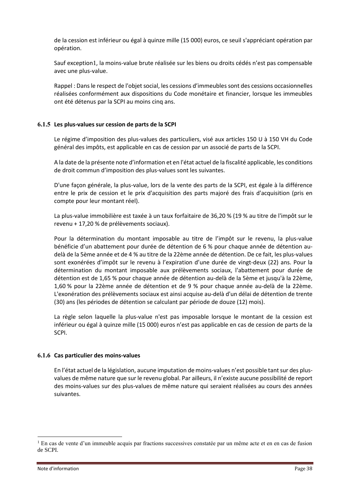de la cession est inférieur ou égal à quinze mille (15 000) euros, ce seuil s'appréciant opération par opération.

Sauf exception1, la moins-value brute réalisée sur les biens ou droits cédés n'est pas compensable avec une plus-value.

Rappel : Dans le respect de l'objet social, les cessions d'immeubles sont des cessions occasionnelles réalisées conformément aux dispositions du Code monétaire et financier, lorsque les immeubles ont été détenus par la SCPI au moins cinq ans.

#### <span id="page-38-0"></span>**6.1.5 Les plus-values sur cession de parts de la SCPI**

Le régime d'imposition des plus-values des particuliers, visé aux articles 150 U à 150 VH du Code général des impôts, est applicable en cas de cession par un associé de parts de la SCPI.

A la date de la présente note d'information et en l'état actuel de la fiscalité applicable, les conditions de droit commun d'imposition des plus-values sont les suivantes.

D'une façon générale, la plus-value, lors de la vente des parts de la SCPI, est égale à la différence entre le prix de cession et le prix d'acquisition des parts majoré des frais d'acquisition (pris en compte pour leur montant réel).

La plus-value immobilière est taxée à un taux forfaitaire de 36,20 % (19 % au titre de l'impôt sur le revenu + 17,20 % de prélèvements sociaux).

Pour la détermination du montant imposable au titre de l'impôt sur le revenu, la plus-value bénéficie d'un abattement pour durée de détention de 6 % pour chaque année de détention audelà de la 5ème année et de 4 % au titre de la 22ème année de détention. De ce fait, les plus-values sont exonérées d'impôt sur le revenu à l'expiration d'une durée de vingt-deux (22) ans. Pour la détermination du montant imposable aux prélèvements sociaux, l'abattement pour durée de détention est de 1,65 % pour chaque année de détention au-delà de la 5ème et jusqu'à la 22ème, 1,60 % pour la 22ème année de détention et de 9 % pour chaque année au-delà de la 22ème. L'exonération des prélèvements sociaux est ainsi acquise au-delà d'un délai de détention de trente (30) ans (les périodes de détention se calculant par période de douze (12) mois).

La règle selon laquelle la plus-value n'est pas imposable lorsque le montant de la cession est inférieur ou égal à quinze mille (15 000) euros n'est pas applicable en cas de cession de parts de la SCPI.

#### <span id="page-38-1"></span>**6.1.6 Cas particulier des moins-values**

En l'état actuel de la législation, aucune imputation de moins-values n'est possible tant sur des plusvalues de même nature que sur le revenu global. Par ailleurs, il n'existe aucune possibilité de report des moins-values sur des plus-values de même nature qui seraient réalisées au cours des années suivantes.

<sup>&</sup>lt;sup>1</sup> En cas de vente d'un immeuble acquis par fractions successives constatée par un même acte et en en cas de fusion de SCPI.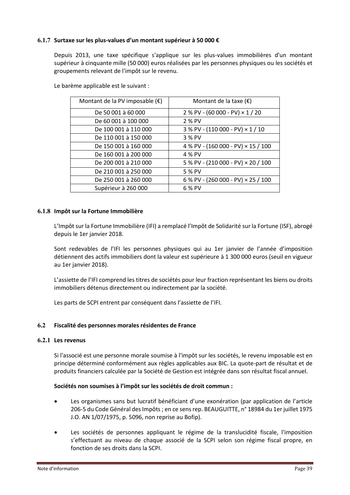#### <span id="page-39-0"></span>**6.1.7 Surtaxe sur les plus-values d'un montant supérieur à 50 000 €**

Depuis 2013, une taxe spécifique s'applique sur les plus-values immobilières d'un montant supérieur à cinquante mille (50 000) euros réalisées par les personnes physiques ou les sociétés et groupements relevant de l'impôt sur le revenu.

| Montant de la PV imposable $(\epsilon)$ | Montant de la taxe $(\epsilon)$         |
|-----------------------------------------|-----------------------------------------|
| De 50 001 à 60 000                      | $2%$ PV - (60 000 - PV) $\times$ 1 / 20 |
| De 60 001 à 100 000                     | 2 % PV                                  |
| De 100 001 à 110 000                    | 3 % PV - (110 000 - PV) × 1 / 10        |
| De 110 001 à 150 000                    | 3 % PV                                  |
| De 150 001 à 160 000                    | 4 % PV - (160 000 - PV) × 15 / 100      |
| De 160 001 à 200 000                    | 4 % PV                                  |
| De 200 001 à 210 000                    | 5 % PV - (210 000 - PV) × 20 / 100      |
| De 210 001 à 250 000                    | 5 % PV                                  |
| De 250 001 à 260 000                    | 6 % PV - (260 000 - PV) × 25 / 100      |
| Supérieur à 260 000                     | 6 % PV                                  |

Le barème applicable est le suivant :

#### <span id="page-39-1"></span>**6.1.8 Impôt sur la Fortune Immobilière**

L'Impôt sur la Fortune Immobilière (IFI) a remplacé l'Impôt de Solidarité sur la Fortune (ISF), abrogé depuis le 1er janvier 2018.

Sont redevables de l'IFI les personnes physiques qui au 1er janvier de l'année d'imposition détiennent des actifs immobiliers dont la valeur est supérieure à 1 300 000 euros (seuil en vigueur au 1er janvier 2018).

L'assiette de l'IFI comprend les titres de sociétés pour leur fraction représentant les biens ou droits immobiliers détenus directement ou indirectement par la société.

Les parts de SCPI entrent par conséquent dans l'assiette de l'IFI.

#### <span id="page-39-2"></span>**6.2 Fiscalité des personnes morales résidentes de France**

#### <span id="page-39-3"></span>**6.2.1 Les revenus**

Si l'associé est une personne morale soumise à l'impôt sur les sociétés, le revenu imposable est en principe déterminé conformément aux règles applicables aux BIC. La quote-part de résultat et de produits financiers calculée par la Société de Gestion est intégrée dans son résultat fiscal annuel.

#### **Sociétés non soumises à l'impôt sur les sociétés de droit commun :**

- Les organismes sans but lucratif bénéficiant d'une exonération (par application de l'article 206-5 du Code Général des Impôts ; en ce sens rep. BEAUGUITTE, n° 18984 du 1er juillet 1975 J.O. AN 1/07/1975, p. 5096, non reprise au Bofip).
- Les sociétés de personnes appliquant le régime de la translucidité fiscale, l'imposition s'effectuant au niveau de chaque associé de la SCPI selon son régime fiscal propre, en fonction de ses droits dans la SCPI.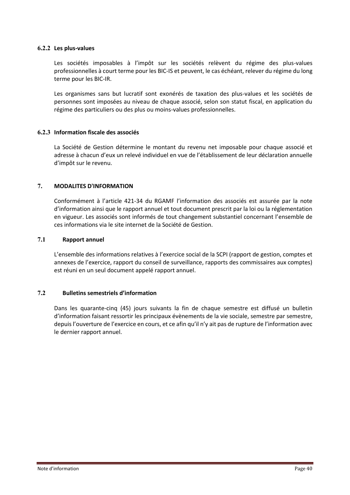#### <span id="page-40-0"></span>**6.2.2 Les plus-values**

Les sociétés imposables à l'impôt sur les sociétés relèvent du régime des plus-values professionnelles à court terme pour les BIC-IS et peuvent, le cas échéant, relever du régime du long terme pour les BIC-IR.

Les organismes sans but lucratif sont exonérés de taxation des plus-values et les sociétés de personnes sont imposées au niveau de chaque associé, selon son statut fiscal, en application du régime des particuliers ou des plus ou moins-values professionnelles.

#### <span id="page-40-1"></span>**6.2.3 Information fiscale des associés**

La Société de Gestion détermine le montant du revenu net imposable pour chaque associé et adresse à chacun d'eux un relevé individuel en vue de l'établissement de leur déclaration annuelle d'impôt sur le revenu.

#### <span id="page-40-2"></span>**7. MODALITES D'INFORMATION**

Conformément à l'article 421-34 du RGAMF l'information des associés est assurée par la note d'information ainsi que le rapport annuel et tout document prescrit par la loi ou la réglementation en vigueur. Les associés sont informés de tout changement substantiel concernant l'ensemble de ces informations via le site internet de la Société de Gestion.

#### <span id="page-40-3"></span>**7.1 Rapport annuel**

L'ensemble des informations relatives à l'exercice social de la SCPI (rapport de gestion, comptes et annexes de l'exercice, rapport du conseil de surveillance, rapports des commissaires aux comptes) est réuni en un seul document appelé rapport annuel.

#### <span id="page-40-4"></span>**7.2 Bulletins semestriels d'information**

Dans les quarante-cinq (45) jours suivants la fin de chaque semestre est diffusé un bulletin d'information faisant ressortir les principaux évènements de la vie sociale, semestre par semestre, depuis l'ouverture de l'exercice en cours, et ce afin qu'il n'y ait pas de rupture de l'information avec le dernier rapport annuel.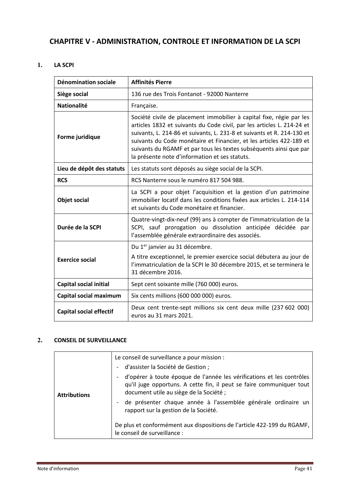# <span id="page-41-0"></span>**CHAPITRE V - ADMINISTRATION, CONTROLE ET INFORMATION DE LA SCPI**

#### <span id="page-41-1"></span>**1. LA SCPI**

| <b>Dénomination sociale</b>    | <b>Affinités Pierre</b>                                                                                                                                                                                                                                                                                                                                                                                                 |
|--------------------------------|-------------------------------------------------------------------------------------------------------------------------------------------------------------------------------------------------------------------------------------------------------------------------------------------------------------------------------------------------------------------------------------------------------------------------|
| Siège social                   | 136 rue des Trois Fontanot - 92000 Nanterre                                                                                                                                                                                                                                                                                                                                                                             |
| <b>Nationalité</b>             | Française.                                                                                                                                                                                                                                                                                                                                                                                                              |
| Forme juridique                | Société civile de placement immobilier à capital fixe, régie par les<br>articles 1832 et suivants du Code civil, par les articles L. 214-24 et<br>suivants, L. 214-86 et suivants, L. 231-8 et suivants et R. 214-130 et<br>suivants du Code monétaire et Financier, et les articles 422-189 et<br>suivants du RGAMF et par tous les textes subséquents ainsi que par<br>la présente note d'information et ses statuts. |
| Lieu de dépôt des statuts      | Les statuts sont déposés au siège social de la SCPI.                                                                                                                                                                                                                                                                                                                                                                    |
| <b>RCS</b>                     | RCS Nanterre sous le numéro 817 504 988.                                                                                                                                                                                                                                                                                                                                                                                |
| <b>Objet social</b>            | La SCPI a pour objet l'acquisition et la gestion d'un patrimoine<br>immobilier locatif dans les conditions fixées aux articles L. 214-114<br>et suivants du Code monétaire et financier.                                                                                                                                                                                                                                |
| Durée de la SCPI               | Quatre-vingt-dix-neuf (99) ans à compter de l'immatriculation de la<br>SCPI, sauf prorogation ou dissolution anticipée décidée par<br>l'assemblée générale extraordinaire des associés.                                                                                                                                                                                                                                 |
|                                | Du 1 <sup>er</sup> janvier au 31 décembre.                                                                                                                                                                                                                                                                                                                                                                              |
| <b>Exercice social</b>         | A titre exceptionnel, le premier exercice social débutera au jour de<br>l'immatriculation de la SCPI le 30 décembre 2015, et se terminera le<br>31 décembre 2016.                                                                                                                                                                                                                                                       |
| Capital social initial         | Sept cent soixante mille (760 000) euros.                                                                                                                                                                                                                                                                                                                                                                               |
| Capital social maximum         | Six cents millions (600 000 000) euros.                                                                                                                                                                                                                                                                                                                                                                                 |
| <b>Capital social effectif</b> | Deux cent trente-sept millions six cent deux mille (237 602 000)<br>euros au 31 mars 2021.                                                                                                                                                                                                                                                                                                                              |

### <span id="page-41-2"></span>**2. CONSEIL DE SURVEILLANCE**

|                     | Le conseil de surveillance a pour mission :                                                                                                                                             |
|---------------------|-----------------------------------------------------------------------------------------------------------------------------------------------------------------------------------------|
|                     | d'assister la Société de Gestion;<br>$\overline{\phantom{a}}$                                                                                                                           |
| <b>Attributions</b> | d'opérer à toute époque de l'année les vérifications et les contrôles<br>qu'il juge opportuns. A cette fin, il peut se faire communiquer tout<br>document utile au siège de la Société; |
|                     | de présenter chaque année à l'assemblée générale ordinaire un<br>rapport sur la gestion de la Société.                                                                                  |
|                     | De plus et conformément aux dispositions de l'article 422-199 du RGAMF,<br>le conseil de surveillance :                                                                                 |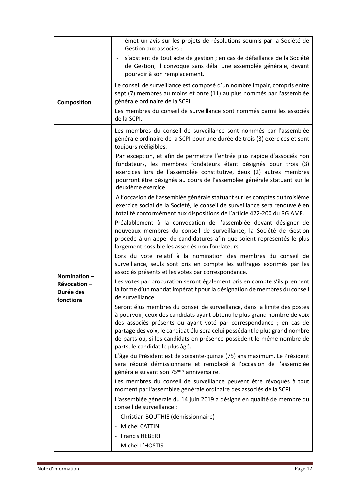|                                       | émet un avis sur les projets de résolutions soumis par la Société de<br>Gestion aux associés ;                                                                                                                                                                                                                                                                                                                         |
|---------------------------------------|------------------------------------------------------------------------------------------------------------------------------------------------------------------------------------------------------------------------------------------------------------------------------------------------------------------------------------------------------------------------------------------------------------------------|
|                                       | s'abstient de tout acte de gestion ; en cas de défaillance de la Société<br>$\blacksquare$<br>de Gestion, il convoque sans délai une assemblée générale, devant<br>pourvoir à son remplacement.                                                                                                                                                                                                                        |
| Composition                           | Le conseil de surveillance est composé d'un nombre impair, compris entre<br>sept (7) membres au moins et onze (11) au plus nommés par l'assemblée<br>générale ordinaire de la SCPI.                                                                                                                                                                                                                                    |
|                                       | Les membres du conseil de surveillance sont nommés parmi les associés<br>de la SCPI.                                                                                                                                                                                                                                                                                                                                   |
|                                       | Les membres du conseil de surveillance sont nommés par l'assemblée<br>générale ordinaire de la SCPI pour une durée de trois (3) exercices et sont<br>toujours rééligibles.                                                                                                                                                                                                                                             |
|                                       | Par exception, et afin de permettre l'entrée plus rapide d'associés non<br>fondateurs, les membres fondateurs étant désignés pour trois (3)<br>exercices lors de l'assemblée constitutive, deux (2) autres membres<br>pourront être désignés au cours de l'assemblée générale statuant sur le<br>deuxième exercice.                                                                                                    |
|                                       | A l'occasion de l'assemblée générale statuant sur les comptes du troisième<br>exercice social de la Société, le conseil de surveillance sera renouvelé en<br>totalité conformément aux dispositions de l'article 422-200 du RG AMF.                                                                                                                                                                                    |
|                                       | Préalablement à la convocation de l'assemblée devant désigner de<br>nouveaux membres du conseil de surveillance, la Société de Gestion<br>procède à un appel de candidatures afin que soient représentés le plus<br>largement possible les associés non fondateurs.                                                                                                                                                    |
| Nomination $-$                        | Lors du vote relatif à la nomination des membres du conseil de<br>surveillance, seuls sont pris en compte les suffrages exprimés par les<br>associés présents et les votes par correspondance.                                                                                                                                                                                                                         |
| Révocation-<br>Durée des<br>fonctions | Les votes par procuration seront également pris en compte s'ils prennent<br>la forme d'un mandat impératif pour la désignation de membres du conseil<br>de surveillance.                                                                                                                                                                                                                                               |
|                                       | Seront élus membres du conseil de surveillance, dans la limite des postes<br>à pourvoir, ceux des candidats ayant obtenu le plus grand nombre de voix<br>des associés présents ou ayant voté par correspondance ; en cas de<br>partage des voix, le candidat élu sera celui possédant le plus grand nombre<br>de parts ou, si les candidats en présence possèdent le même nombre de<br>parts, le candidat le plus âgé. |
|                                       | L'âge du Président est de soixante-quinze (75) ans maximum. Le Président<br>sera réputé démissionnaire et remplacé à l'occasion de l'assemblée<br>générale suivant son 75 <sup>ème</sup> anniversaire.                                                                                                                                                                                                                 |
|                                       | Les membres du conseil de surveillance peuvent être révoqués à tout<br>moment par l'assemblée générale ordinaire des associés de la SCPI.                                                                                                                                                                                                                                                                              |
|                                       | L'assemblée générale du 14 juin 2019 a désigné en qualité de membre du<br>conseil de surveillance :                                                                                                                                                                                                                                                                                                                    |
|                                       | - Christian BOUTHIE (démissionnaire)                                                                                                                                                                                                                                                                                                                                                                                   |
|                                       | - Michel CATTIN<br>- Francis HEBERT                                                                                                                                                                                                                                                                                                                                                                                    |
|                                       | - Michel L'HOSTIS                                                                                                                                                                                                                                                                                                                                                                                                      |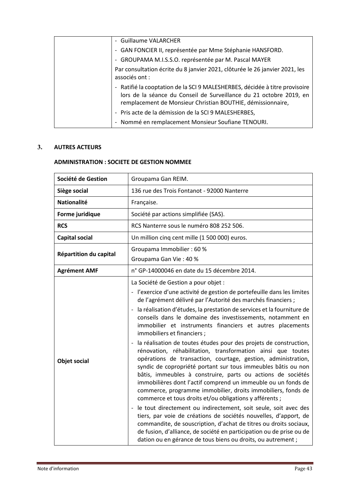| - Guillaume VALARCHER                                                                                                                                                                                             |
|-------------------------------------------------------------------------------------------------------------------------------------------------------------------------------------------------------------------|
| - GAN FONCIER II, représentée par Mme Stéphanie HANSFORD.                                                                                                                                                         |
| - GROUPAMA M.I.S.S.O. représentée par M. Pascal MAYER                                                                                                                                                             |
| Par consultation écrite du 8 janvier 2021, clôturée le 26 janvier 2021, les<br>associés ont :                                                                                                                     |
| - Ratifié la cooptation de la SCI 9 MALESHERBES, décidée à titre provisoire<br>lors de la séance du Conseil de Surveillance du 21 octobre 2019, en<br>remplacement de Monsieur Christian BOUTHIE, démissionnaire, |
| - Pris acte de la démission de la SCI 9 MALESHERBES,                                                                                                                                                              |
| - Nommé en remplacement Monsieur Soufiane TENOURI.                                                                                                                                                                |

#### <span id="page-43-0"></span>**3. AUTRES ACTEURS**

#### **ADMINISTRATION : SOCIETE DE GESTION NOMMEE**

| Société de Gestion     | Groupama Gan REIM.                                                                                                                                                                                                                                                                                                                                                                                                                                                                                                                                                                                                                                                                                                                                                                                                                                                                                                                                                                                                                                                                                                                                                                                                                                                                                       |  |
|------------------------|----------------------------------------------------------------------------------------------------------------------------------------------------------------------------------------------------------------------------------------------------------------------------------------------------------------------------------------------------------------------------------------------------------------------------------------------------------------------------------------------------------------------------------------------------------------------------------------------------------------------------------------------------------------------------------------------------------------------------------------------------------------------------------------------------------------------------------------------------------------------------------------------------------------------------------------------------------------------------------------------------------------------------------------------------------------------------------------------------------------------------------------------------------------------------------------------------------------------------------------------------------------------------------------------------------|--|
| Siège social           | 136 rue des Trois Fontanot - 92000 Nanterre                                                                                                                                                                                                                                                                                                                                                                                                                                                                                                                                                                                                                                                                                                                                                                                                                                                                                                                                                                                                                                                                                                                                                                                                                                                              |  |
| <b>Nationalité</b>     | Française.                                                                                                                                                                                                                                                                                                                                                                                                                                                                                                                                                                                                                                                                                                                                                                                                                                                                                                                                                                                                                                                                                                                                                                                                                                                                                               |  |
| Forme juridique        | Société par actions simplifiée (SAS).                                                                                                                                                                                                                                                                                                                                                                                                                                                                                                                                                                                                                                                                                                                                                                                                                                                                                                                                                                                                                                                                                                                                                                                                                                                                    |  |
| <b>RCS</b>             | RCS Nanterre sous le numéro 808 252 506.                                                                                                                                                                                                                                                                                                                                                                                                                                                                                                                                                                                                                                                                                                                                                                                                                                                                                                                                                                                                                                                                                                                                                                                                                                                                 |  |
| <b>Capital social</b>  | Un million cinq cent mille (1 500 000) euros.                                                                                                                                                                                                                                                                                                                                                                                                                                                                                                                                                                                                                                                                                                                                                                                                                                                                                                                                                                                                                                                                                                                                                                                                                                                            |  |
| Répartition du capital | Groupama Immobilier: 60 %<br>Groupama Gan Vie: 40 %                                                                                                                                                                                                                                                                                                                                                                                                                                                                                                                                                                                                                                                                                                                                                                                                                                                                                                                                                                                                                                                                                                                                                                                                                                                      |  |
| <b>Agrément AMF</b>    | n° GP-14000046 en date du 15 décembre 2014.                                                                                                                                                                                                                                                                                                                                                                                                                                                                                                                                                                                                                                                                                                                                                                                                                                                                                                                                                                                                                                                                                                                                                                                                                                                              |  |
| <b>Objet social</b>    | La Société de Gestion a pour objet :<br>- l'exercice d'une activité de gestion de portefeuille dans les limites<br>de l'agrément délivré par l'Autorité des marchés financiers ;<br>la réalisation d'études, la prestation de services et la fourniture de<br>conseils dans le domaine des investissements, notamment en<br>immobilier et instruments financiers et autres placements<br>immobiliers et financiers;<br>la réalisation de toutes études pour des projets de construction,<br>rénovation, réhabilitation, transformation ainsi que toutes<br>opérations de transaction, courtage, gestion, administration,<br>syndic de copropriété portant sur tous immeubles bâtis ou non<br>bâtis, immeubles à construire, parts ou actions de sociétés<br>immobilières dont l'actif comprend un immeuble ou un fonds de<br>commerce, programme immobilier, droits immobiliers, fonds de<br>commerce et tous droits et/ou obligations y afférents ;<br>le tout directement ou indirectement, soit seule, soit avec des<br>tiers, par voie de créations de sociétés nouvelles, d'apport, de<br>commandite, de souscription, d'achat de titres ou droits sociaux,<br>de fusion, d'alliance, de société en participation ou de prise ou de<br>dation ou en gérance de tous biens ou droits, ou autrement ; |  |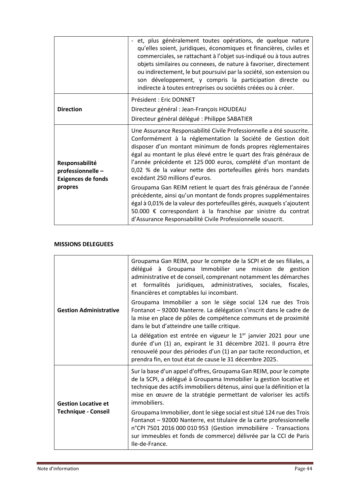|                                                                            | - et, plus généralement toutes opérations, de quelque nature<br>qu'elles soient, juridiques, économiques et financières, civiles et<br>commerciales, se rattachant à l'objet sus-indiqué ou à tous autres<br>objets similaires ou connexes, de nature à favoriser, directement<br>ou indirectement, le but poursuivi par la société, son extension ou<br>son développement, y compris la participation directe ou<br>indirecte à toutes entreprises ou sociétés créées ou à créer. |
|----------------------------------------------------------------------------|------------------------------------------------------------------------------------------------------------------------------------------------------------------------------------------------------------------------------------------------------------------------------------------------------------------------------------------------------------------------------------------------------------------------------------------------------------------------------------|
|                                                                            | Président : Eric DONNET                                                                                                                                                                                                                                                                                                                                                                                                                                                            |
| <b>Direction</b>                                                           | Directeur général : Jean-François HOUDEAU                                                                                                                                                                                                                                                                                                                                                                                                                                          |
|                                                                            | Directeur général délégué : Philippe SABATIER                                                                                                                                                                                                                                                                                                                                                                                                                                      |
| Responsabilité<br>professionnelle-<br><b>Exigences de fonds</b><br>propres | Une Assurance Responsabilité Civile Professionnelle a été souscrite.<br>Conformément à la réglementation la Société de Gestion doit<br>disposer d'un montant minimum de fonds propres règlementaires<br>égal au montant le plus élevé entre le quart des frais généraux de<br>l'année précédente et 125 000 euros, complété d'un montant de<br>0,02 % de la valeur nette des portefeuilles gérés hors mandats<br>excédant 250 millions d'euros.                                    |
|                                                                            | Groupama Gan REIM retient le quart des frais généraux de l'année<br>précédente, ainsi qu'un montant de fonds propres supplémentaires<br>égal à 0,01% de la valeur des portefeuilles gérés, auxquels s'ajoutent<br>50.000 € correspondant à la franchise par sinistre du contrat<br>d'Assurance Responsabilité Civile Professionnelle souscrit.                                                                                                                                     |

#### **MISSIONS DELEGUEES**

| <b>Gestion Administrative</b>                            | Groupama Gan REIM, pour le compte de la SCPI et de ses filiales, a<br>délégué à Groupama Immobilier une mission de gestion<br>administrative et de conseil, comprenant notamment les démarches<br>et formalités juridiques, administratives, sociales, fiscales,<br>financières et comptables lui incombant. |
|----------------------------------------------------------|--------------------------------------------------------------------------------------------------------------------------------------------------------------------------------------------------------------------------------------------------------------------------------------------------------------|
|                                                          | Groupama Immobilier a son le siège social 124 rue des Trois<br>Fontanot - 92000 Nanterre. La délégation s'inscrit dans le cadre de<br>la mise en place de pôles de compétence communs et de proximité<br>dans le but d'atteindre une taille critique.                                                        |
|                                                          | La délégation est entrée en vigueur le 1 <sup>er</sup> janvier 2021 pour une<br>durée d'un (1) an, expirant le 31 décembre 2021. Il pourra être<br>renouvelé pour des périodes d'un (1) an par tacite reconduction, et<br>prendra fin, en tout état de cause le 31 décembre 2025.                            |
| <b>Gestion Locative et</b><br><b>Technique - Conseil</b> | Sur la base d'un appel d'offres, Groupama Gan REIM, pour le compte<br>de la SCPI, a délégué à Groupama Immobilier la gestion locative et<br>technique des actifs immobiliers détenus, ainsi que la définition et la<br>mise en œuvre de la stratégie permettant de valoriser les actifs<br>immobiliers.      |
|                                                          | Groupama Immobilier, dont le siège social est situé 124 rue des Trois<br>Fontanot - 92000 Nanterre, est titulaire de la carte professionnelle<br>n°CPI 7501 2016 000 010 953 (Gestion immobilière - Transactions<br>sur immeubles et fonds de commerce) délivrée par la CCI de Paris<br>Ile-de-France.       |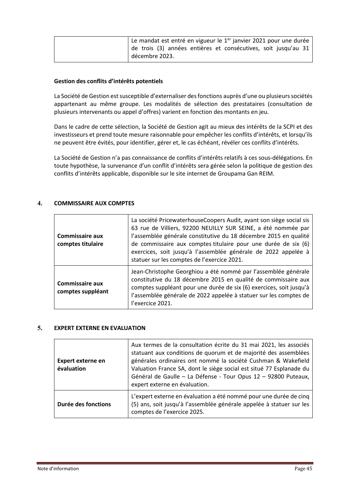| Le mandat est entré en vigueur le 1 <sup>er</sup> janvier 2021 pour une durée |
|-------------------------------------------------------------------------------|
| de trois (3) années entières et consécutives, soit jusqu'au 31                |
| décembre 2023.                                                                |

#### **Gestion des conflits d'intérêts potentiels**

La Société de Gestion est susceptible d'externaliser des fonctions auprès d'une ou plusieurs sociétés appartenant au même groupe. Les modalités de sélection des prestataires (consultation de plusieurs intervenants ou appel d'offres) varient en fonction des montants en jeu.

Dans le cadre de cette sélection, la Société de Gestion agit au mieux des intérêts de la SCPI et des investisseurs et prend toute mesure raisonnable pour empêcher les conflits d'intérêts, et lorsqu'ils ne peuvent être évités, pour identifier, gérer et, le cas échéant, révéler ces conflits d'intérêts.

La Société de Gestion n'a pas connaissance de conflits d'intérêts relatifs à ces sous-délégations. En toute hypothèse, la survenance d'un conflit d'intérêts sera gérée selon la politique de gestion des conflits d'intérêts applicable, disponible sur le site internet de Groupama Gan REIM.

#### <span id="page-45-0"></span>**4. COMMISSAIRE AUX COMPTES**

| <b>Commissaire aux</b><br>comptes titulaire | La société PricewaterhouseCoopers Audit, ayant son siège social sis<br>63 rue de Villiers, 92200 NEUILLY SUR SEINE, a été nommée par<br>l'assemblée générale constitutive du 18 décembre 2015 en qualité<br>de commissaire aux comptes titulaire pour une durée de six (6)<br>exercices, soit jusqu'à l'assemblée générale de 2022 appelée à<br>statuer sur les comptes de l'exercice 2021. |
|---------------------------------------------|---------------------------------------------------------------------------------------------------------------------------------------------------------------------------------------------------------------------------------------------------------------------------------------------------------------------------------------------------------------------------------------------|
| <b>Commissaire aux</b><br>comptes suppléant | Jean-Christophe Georghiou a été nommé par l'assemblée générale<br>constitutive du 18 décembre 2015 en qualité de commissaire aux<br>comptes suppléant pour une durée de six (6) exercices, soit jusqu'à<br>l'assemblée générale de 2022 appelée à statuer sur les comptes de<br>l'exercice 2021.                                                                                            |

#### <span id="page-45-1"></span>**5. EXPERT EXTERNE EN EVALUATION**

| <b>Expert externe en</b><br>évaluation | Aux termes de la consultation écrite du 31 mai 2021, les associés<br>statuant aux conditions de quorum et de majorité des assemblées<br>générales ordinaires ont nommé la société Cushman & Wakefield<br>Valuation France SA, dont le siège social est situé 77 Esplanade du<br>Général de Gaulle - La Défense - Tour Opus 12 - 92800 Puteaux,<br>expert externe en évaluation. |
|----------------------------------------|---------------------------------------------------------------------------------------------------------------------------------------------------------------------------------------------------------------------------------------------------------------------------------------------------------------------------------------------------------------------------------|
| Durée des fonctions                    | L'expert externe en évaluation a été nommé pour une durée de cinq<br>(5) ans, soit jusqu'à l'assemblée générale appelée à statuer sur les<br>comptes de l'exercice 2025.                                                                                                                                                                                                        |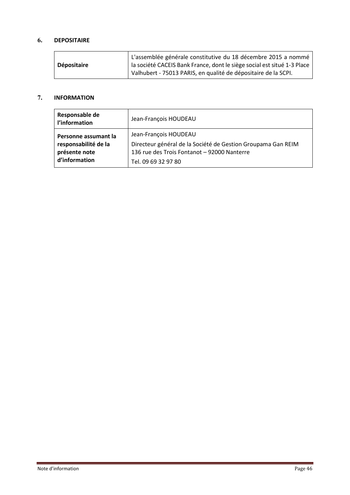#### <span id="page-46-0"></span>**6. DEPOSITAIRE**

|                    | L'assemblée générale constitutive du 18 décembre 2015 a nommé           |
|--------------------|-------------------------------------------------------------------------|
| <b>Dépositaire</b> | la société CACEIS Bank France, dont le siège social est situé 1-3 Place |
|                    | Valhubert - 75013 PARIS, en qualité de dépositaire de la SCPI.          |

#### <span id="page-46-1"></span>**7. INFORMATION**

| Responsable de<br>l'information | Jean-François HOUDEAU                                        |
|---------------------------------|--------------------------------------------------------------|
| Personne assumant la            | Jean-François HOUDEAU                                        |
| responsabilité de la            | Directeur général de la Société de Gestion Groupama Gan REIM |
| présente note                   | 136 rue des Trois Fontanot - 92000 Nanterre                  |
| d'information                   | Tel. 09 69 32 97 80                                          |